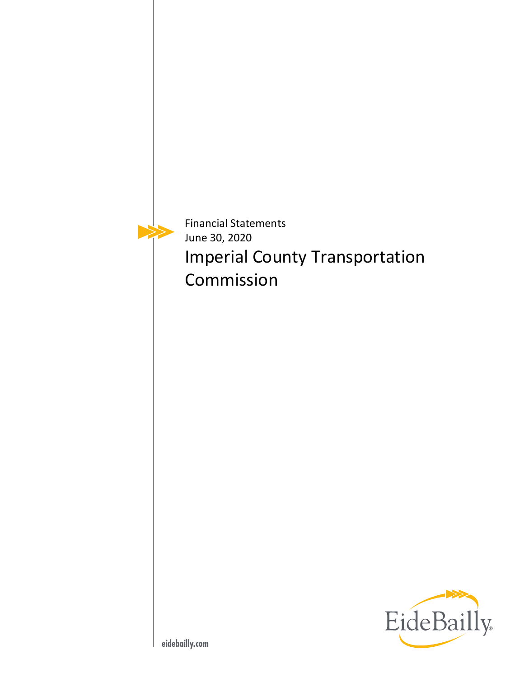Financial Statements June 30, 2020 Imperial County Transportation Commission

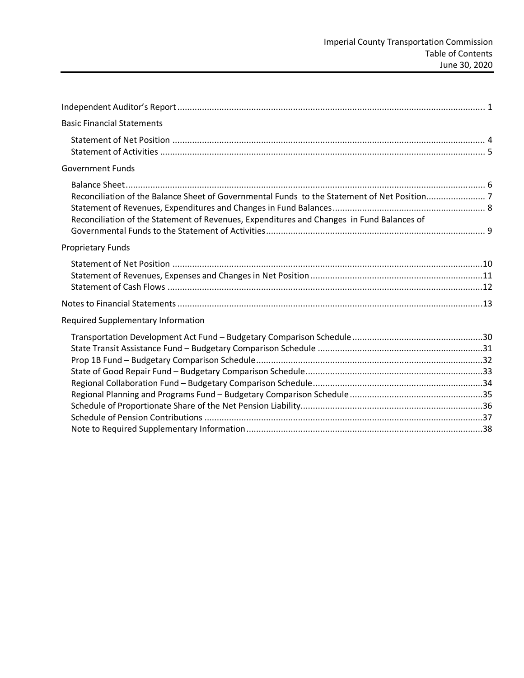| <b>Basic Financial Statements</b>                                                         |  |
|-------------------------------------------------------------------------------------------|--|
|                                                                                           |  |
|                                                                                           |  |
|                                                                                           |  |
| <b>Government Funds</b>                                                                   |  |
|                                                                                           |  |
|                                                                                           |  |
|                                                                                           |  |
| Reconciliation of the Statement of Revenues, Expenditures and Changes in Fund Balances of |  |
|                                                                                           |  |
| <b>Proprietary Funds</b>                                                                  |  |
|                                                                                           |  |
|                                                                                           |  |
|                                                                                           |  |
|                                                                                           |  |
| <b>Required Supplementary Information</b>                                                 |  |
|                                                                                           |  |
|                                                                                           |  |
|                                                                                           |  |
|                                                                                           |  |
|                                                                                           |  |
|                                                                                           |  |
|                                                                                           |  |
|                                                                                           |  |
|                                                                                           |  |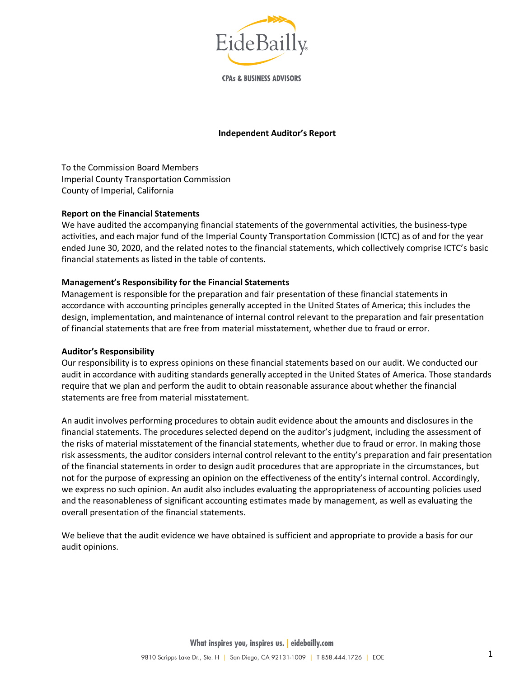

**CPAs & BUSINESS ADVISORS** 

#### **Independent Auditor's Report**

To the Commission Board Members Imperial County Transportation Commission County of Imperial, California

#### **Report on the Financial Statements**

We have audited the accompanying financial statements of the governmental activities, the business-type activities, and each major fund of the Imperial County Transportation Commission (ICTC) as of and for the year ended June 30, 2020, and the related notes to the financial statements, which collectively comprise ICTC's basic financial statements as listed in the table of contents.

#### **Management's Responsibility for the Financial Statements**

Management is responsible for the preparation and fair presentation of these financial statements in accordance with accounting principles generally accepted in the United States of America; this includes the design, implementation, and maintenance of internal control relevant to the preparation and fair presentation of financial statements that are free from material misstatement, whether due to fraud or error.

#### **Auditor's Responsibility**

Our responsibility is to express opinions on these financial statements based on our audit. We conducted our audit in accordance with auditing standards generally accepted in the United States of America. Those standards require that we plan and perform the audit to obtain reasonable assurance about whether the financial statements are free from material misstatement.

An audit involves performing procedures to obtain audit evidence about the amounts and disclosures in the financial statements. The procedures selected depend on the auditor's judgment, including the assessment of the risks of material misstatement of the financial statements, whether due to fraud or error. In making those risk assessments, the auditor considers internal control relevant to the entity's preparation and fair presentation of the financial statements in order to design audit procedures that are appropriate in the circumstances, but not for the purpose of expressing an opinion on the effectiveness of the entity's internal control. Accordingly, we express no such opinion. An audit also includes evaluating the appropriateness of accounting policies used and the reasonableness of significant accounting estimates made by management, as well as evaluating the overall presentation of the financial statements.

We believe that the audit evidence we have obtained is sufficient and appropriate to provide a basis for our audit opinions.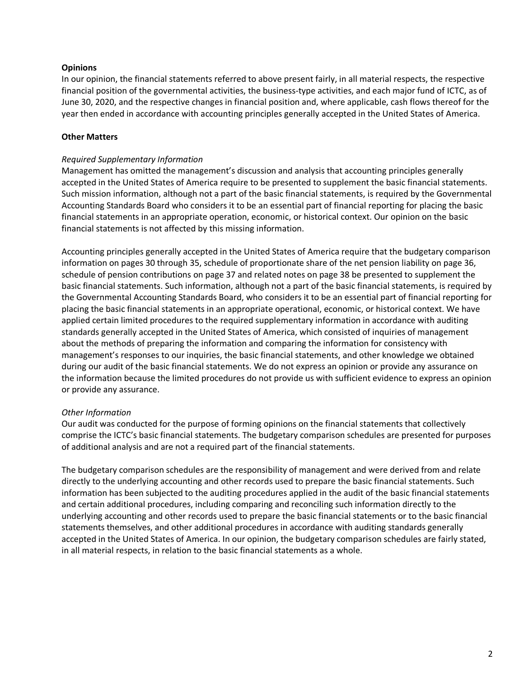#### **Opinions**

In our opinion, the financial statements referred to above present fairly, in all material respects, the respective financial position of the governmental activities, the business-type activities, and each major fund of ICTC, as of June 30, 2020, and the respective changes in financial position and, where applicable, cash flows thereof for the year then ended in accordance with accounting principles generally accepted in the United States of America.

#### **Other Matters**

#### *Required Supplementary Information*

Management has omitted the management's discussion and analysis that accounting principles generally accepted in the United States of America require to be presented to supplement the basic financial statements. Such mission information, although not a part of the basic financial statements, is required by the Governmental Accounting Standards Board who considers it to be an essential part of financial reporting for placing the basic financial statements in an appropriate operation, economic, or historical context. Our opinion on the basic financial statements is not affected by this missing information.

Accounting principles generally accepted in the United States of America require that the budgetary comparison information on pages 30 through 35, schedule of proportionate share of the net pension liability on page 36, schedule of pension contributions on page 37 and related notes on page 38 be presented to supplement the basic financial statements. Such information, although not a part of the basic financial statements, is required by the Governmental Accounting Standards Board, who considers it to be an essential part of financial reporting for placing the basic financial statements in an appropriate operational, economic, or historical context. We have applied certain limited procedures to the required supplementary information in accordance with auditing standards generally accepted in the United States of America, which consisted of inquiries of management about the methods of preparing the information and comparing the information for consistency with management's responses to our inquiries, the basic financial statements, and other knowledge we obtained during our audit of the basic financial statements. We do not express an opinion or provide any assurance on the information because the limited procedures do not provide us with sufficient evidence to express an opinion or provide any assurance.

#### *Other Information*

Our audit was conducted for the purpose of forming opinions on the financial statements that collectively comprise the ICTC's basic financial statements. The budgetary comparison schedules are presented for purposes of additional analysis and are not a required part of the financial statements.

The budgetary comparison schedules are the responsibility of management and were derived from and relate directly to the underlying accounting and other records used to prepare the basic financial statements. Such information has been subjected to the auditing procedures applied in the audit of the basic financial statements and certain additional procedures, including comparing and reconciling such information directly to the underlying accounting and other records used to prepare the basic financial statements or to the basic financial statements themselves, and other additional procedures in accordance with auditing standards generally accepted in the United States of America. In our opinion, the budgetary comparison schedules are fairly stated, in all material respects, in relation to the basic financial statements as a whole.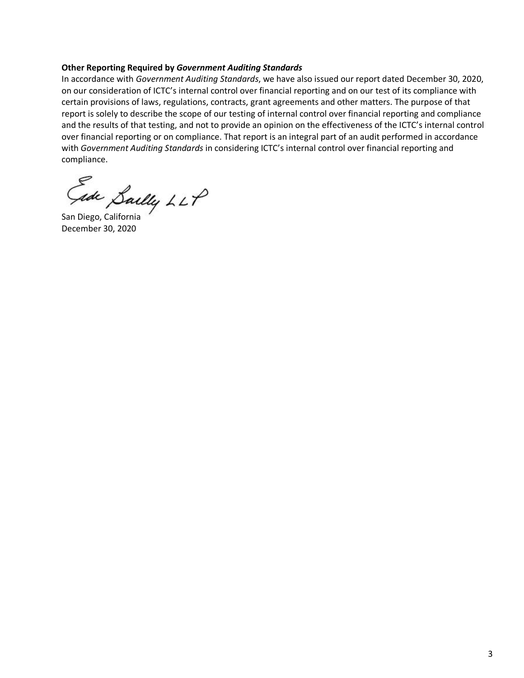#### **Other Reporting Required by** *Government Auditing Standards*

In accordance with *Government Auditing Standards*, we have also issued our report dated December 30, 2020, on our consideration of ICTC's internal control over financial reporting and on our test of its compliance with certain provisions of laws, regulations, contracts, grant agreements and other matters. The purpose of that report is solely to describe the scope of our testing of internal control over financial reporting and compliance and the results of that testing, and not to provide an opinion on the effectiveness of the ICTC's internal control over financial reporting or on compliance. That report is an integral part of an audit performed in accordance with *Government Auditing Standards* in considering ICTC's internal control over financial reporting and compliance.

Sally LLP<br>San Diego, California

December 30, 2020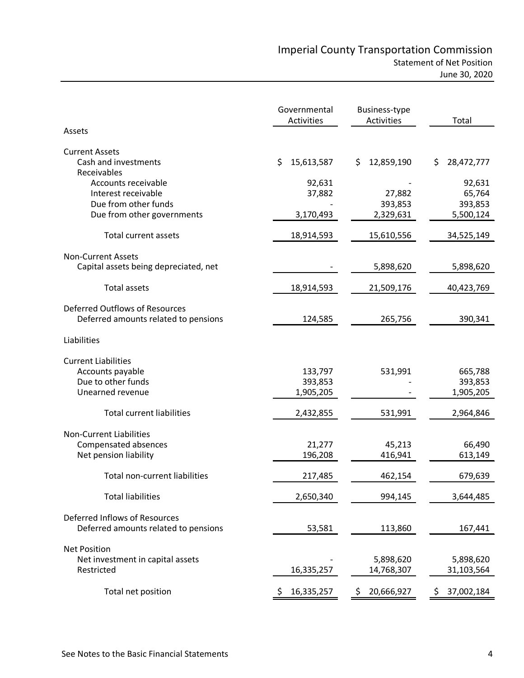|                                                                                                  | Governmental<br>Activities      | <b>Business-type</b><br>Activities | Total                                    |
|--------------------------------------------------------------------------------------------------|---------------------------------|------------------------------------|------------------------------------------|
| Assets                                                                                           |                                 |                                    |                                          |
| <b>Current Assets</b><br>Cash and investments<br>Receivables                                     | \$<br>15,613,587                | 12,859,190<br>\$.                  | \$.<br>28,472,777                        |
| Accounts receivable<br>Interest receivable<br>Due from other funds<br>Due from other governments | 92,631<br>37,882<br>3,170,493   | 27,882<br>393,853<br>2,329,631     | 92,631<br>65,764<br>393,853<br>5,500,124 |
| Total current assets                                                                             | 18,914,593                      | 15,610,556                         | 34,525,149                               |
| <b>Non-Current Assets</b><br>Capital assets being depreciated, net                               |                                 | 5,898,620                          | 5,898,620                                |
| <b>Total assets</b>                                                                              | 18,914,593                      | 21,509,176                         | 40,423,769                               |
| Deferred Outflows of Resources<br>Deferred amounts related to pensions                           | 124,585                         | 265,756                            | 390,341                                  |
| Liabilities                                                                                      |                                 |                                    |                                          |
| <b>Current Liabilities</b><br>Accounts payable<br>Due to other funds<br>Unearned revenue         | 133,797<br>393,853<br>1,905,205 | 531,991                            | 665,788<br>393,853<br>1,905,205          |
| <b>Total current liabilities</b>                                                                 | 2,432,855                       | 531,991                            | 2,964,846                                |
| <b>Non-Current Liabilities</b><br>Compensated absences<br>Net pension liability                  | 21,277<br>196,208               | 45,213<br>416,941                  | 66,490<br>613,149                        |
| <b>Total non-current liabilities</b>                                                             | 217,485                         | 462,154                            | 679,639                                  |
| <b>Total liabilities</b>                                                                         | 2,650,340                       | 994,145                            | 3,644,485                                |
| Deferred Inflows of Resources<br>Deferred amounts related to pensions                            | 53,581                          | 113,860                            | 167,441                                  |
| <b>Net Position</b><br>Net investment in capital assets<br>Restricted                            | 16,335,257                      | 5,898,620<br>14,768,307            | 5,898,620<br>31,103,564                  |
| Total net position                                                                               | 16,335,257<br>Ş.                | \$<br>20,666,927                   | 37,002,184<br>Ş.                         |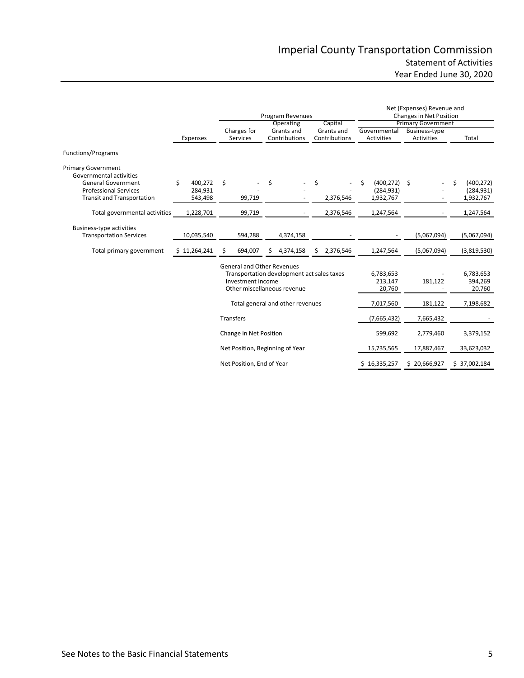|                                                                   |               | Program Revenues                                                                                                                    |                           |    |                                  |                                |               | Net (Expenses) Revenue and<br><b>Changes in Net Position</b> |                           |                  |  |
|-------------------------------------------------------------------|---------------|-------------------------------------------------------------------------------------------------------------------------------------|---------------------------|----|----------------------------------|--------------------------------|---------------|--------------------------------------------------------------|---------------------------|------------------|--|
|                                                                   |               |                                                                                                                                     |                           |    | Operating                        |                                | Capital       |                                                              | <b>Primary Government</b> |                  |  |
|                                                                   |               |                                                                                                                                     | Charges for               |    | Grants and                       |                                | Grants and    | Governmental                                                 | Business-type             |                  |  |
|                                                                   | Expenses      |                                                                                                                                     | Services                  |    | Contributions                    |                                | Contributions | Activities                                                   | <b>Activities</b>         | Total            |  |
| Functions/Programs                                                |               |                                                                                                                                     |                           |    |                                  |                                |               |                                                              |                           |                  |  |
| <b>Primary Government</b><br>Governmental activities              |               |                                                                                                                                     |                           |    |                                  |                                |               |                                                              |                           |                  |  |
| <b>General Government</b>                                         | \$<br>400,272 | -\$                                                                                                                                 |                           | \$ |                                  | \$                             |               | \$<br>(400, 272)                                             | \$                        | \$<br>(400, 272) |  |
| <b>Professional Services</b>                                      | 284,931       |                                                                                                                                     |                           |    |                                  |                                |               | (284, 931)                                                   |                           | (284, 931)       |  |
| <b>Transit and Transportation</b>                                 | 543,498       |                                                                                                                                     | 99,719                    |    |                                  |                                | 2,376,546     | 1,932,767                                                    |                           | 1,932,767        |  |
| Total governmental activities                                     | 1,228,701     |                                                                                                                                     | 99,719                    |    |                                  |                                | 2,376,546     | 1,247,564                                                    |                           | 1,247,564        |  |
| <b>Business-type activities</b><br><b>Transportation Services</b> | 10,035,540    |                                                                                                                                     | 594,288                   |    | 4,374,158                        |                                |               |                                                              | (5,067,094)               | (5,067,094)      |  |
| Total primary government                                          | \$11,264,241  | \$                                                                                                                                  | 694,007                   | S  | 4,374,158                        | S.                             | 2,376,546     | 1,247,564                                                    | (5,067,094)               | (3,819,530)      |  |
|                                                                   |               | <b>General and Other Revenues</b><br>Transportation development act sales taxes<br>Investment income<br>Other miscellaneous revenue |                           |    |                                  | 6,783,653<br>213,147<br>20,760 | 181,122       | 6,783,653<br>394,269<br>20,760                               |                           |                  |  |
|                                                                   |               |                                                                                                                                     |                           |    | Total general and other revenues |                                |               | 7,017,560                                                    | 181,122                   | 7,198,682        |  |
|                                                                   |               | <b>Transfers</b>                                                                                                                    |                           |    |                                  |                                |               | (7,665,432)                                                  | 7,665,432                 |                  |  |
|                                                                   |               | Change in Net Position                                                                                                              |                           |    | 599,692                          | 2,779,460                      | 3,379,152     |                                                              |                           |                  |  |
|                                                                   |               |                                                                                                                                     |                           |    | Net Position, Beginning of Year  |                                |               | 15,735,565                                                   | 17,887,467                | 33,623,032       |  |
|                                                                   |               |                                                                                                                                     | Net Position, End of Year |    |                                  |                                |               | 16,335,257                                                   | \$20,666,927              | \$37,002,184     |  |
|                                                                   |               |                                                                                                                                     |                           |    |                                  |                                |               |                                                              |                           |                  |  |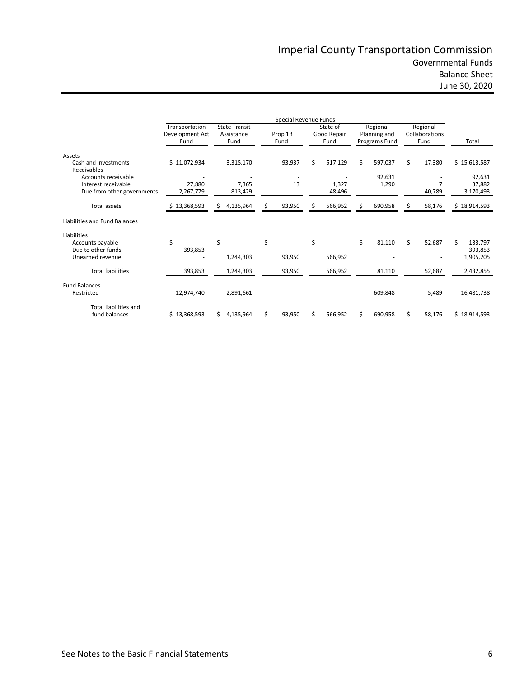# Imperial County Transportation Commission Governmental Funds Balance Sheet

June 30, 2020

|                                     |                                           |                                            |    | Special Revenue Funds |                                 |                                           |    |                                    |               |
|-------------------------------------|-------------------------------------------|--------------------------------------------|----|-----------------------|---------------------------------|-------------------------------------------|----|------------------------------------|---------------|
|                                     | Transportation<br>Development Act<br>Fund | <b>State Transit</b><br>Assistance<br>Fund |    | Prop 1B<br>Fund       | State of<br>Good Repair<br>Fund | Regional<br>Planning and<br>Programs Fund |    | Regional<br>Collaborations<br>Fund | Total         |
| Assets                              |                                           |                                            |    |                       |                                 |                                           |    |                                    |               |
| Cash and investments<br>Receivables | \$11,072,934                              | 3,315,170                                  |    | 93,937                | \$<br>517,129                   | \$<br>597,037                             | \$ | 17,380                             | \$15,613,587  |
| Accounts receivable                 |                                           |                                            |    |                       |                                 | 92,631                                    |    |                                    | 92,631        |
| Interest receivable                 | 27,880                                    | 7,365                                      |    | 13                    | 1,327                           | 1,290                                     |    |                                    | 37,882        |
| Due from other governments          | 2,267,779                                 | 813,429                                    |    |                       | 48,496                          |                                           |    | 40,789                             | 3,170,493     |
| <b>Total assets</b>                 | 13,368,593                                | 4,135,964<br>S.                            |    | 93,950                | 566,952                         | \$<br>690,958                             |    | 58,176                             | \$18,914,593  |
| Liabilities and Fund Balances       |                                           |                                            |    |                       |                                 |                                           |    |                                    |               |
| Liabilities                         |                                           |                                            |    |                       |                                 |                                           |    |                                    |               |
| Accounts payable                    | \$                                        | \$                                         | \$ |                       | \$                              | \$<br>81,110                              | Ś. | 52,687                             | Ś.<br>133,797 |
| Due to other funds                  | 393,853                                   |                                            |    |                       |                                 |                                           |    |                                    | 393,853       |
| Unearned revenue                    |                                           | 1,244,303                                  |    | 93,950                | 566,952                         |                                           |    |                                    | 1,905,205     |
| <b>Total liabilities</b>            | 393,853                                   | 1,244,303                                  |    | 93,950                | 566,952                         | 81,110                                    |    | 52,687                             | 2,432,855     |
| <b>Fund Balances</b>                |                                           |                                            |    |                       |                                 |                                           |    |                                    |               |
| Restricted                          | 12,974,740                                | 2,891,661                                  |    |                       |                                 | 609,848                                   |    | 5,489                              | 16,481,738    |
| <b>Total liabilities and</b>        |                                           |                                            |    |                       |                                 |                                           |    |                                    |               |
| fund balances                       | \$13,368,593                              | 4,135,964<br>S.                            | Ś  | 93,950                | 566,952                         | \$<br>690,958                             | Ś. | 58,176                             | \$18,914,593  |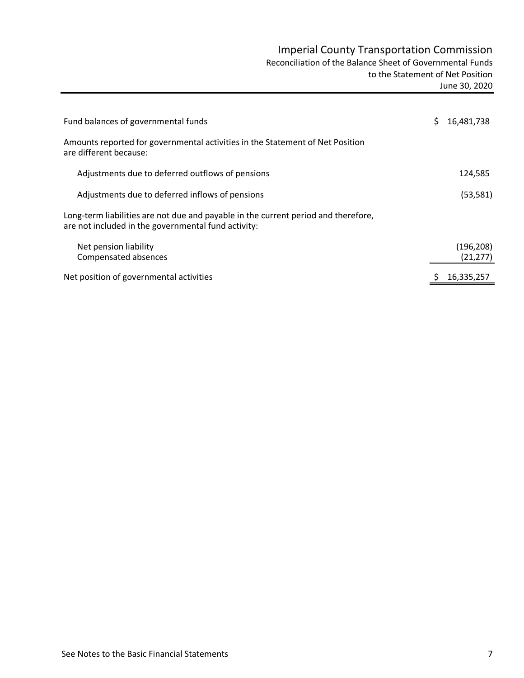# Imperial County Transportation Commission

Reconciliation of the Balance Sheet of Governmental Funds

 to the Statement of Net Position June 30, 2020

| Fund balances of governmental funds                                                                                                       | 16,481,738              |
|-------------------------------------------------------------------------------------------------------------------------------------------|-------------------------|
| Amounts reported for governmental activities in the Statement of Net Position<br>are different because:                                   |                         |
| Adjustments due to deferred outflows of pensions                                                                                          | 124,585                 |
| Adjustments due to deferred inflows of pensions                                                                                           | (53, 581)               |
| Long-term liabilities are not due and payable in the current period and therefore,<br>are not included in the governmental fund activity: |                         |
| Net pension liability<br>Compensated absences                                                                                             | (196, 208)<br>(21, 277) |
| Net position of governmental activities                                                                                                   | 16,335,257              |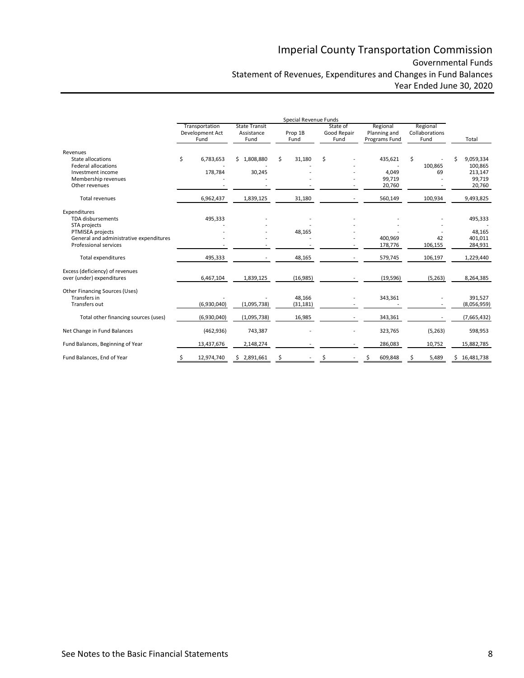# Imperial County Transportation Commission Governmental Funds Statement of Revenues, Expenditures and Changes in Fund Balances Year Ended June 30, 2020

|                                                                                                                                                  | Special Revenue Funds |                                           |                                            |    |                     |    |                                 |                                           |                                    |   |                                                     |
|--------------------------------------------------------------------------------------------------------------------------------------------------|-----------------------|-------------------------------------------|--------------------------------------------|----|---------------------|----|---------------------------------|-------------------------------------------|------------------------------------|---|-----------------------------------------------------|
|                                                                                                                                                  |                       | Transportation<br>Development Act<br>Fund | <b>State Transit</b><br>Assistance<br>Fund |    | Prop 1B<br>Fund     |    | State of<br>Good Repair<br>Fund | Regional<br>Planning and<br>Programs Fund | Regional<br>Collaborations<br>Fund |   | Total                                               |
| Revenues<br>State allocations<br><b>Federal allocations</b><br>Investment income<br>Membership revenues<br>Other revenues                        | \$                    | 6,783,653<br>178,784                      | \$1,808,880<br>30,245                      | Ś  | 31,180              | \$ |                                 | 435,621<br>4,049<br>99,719<br>20,760      | \$<br>100,865<br>69                | Ś | 9,059,334<br>100,865<br>213,147<br>99,719<br>20,760 |
| <b>Total revenues</b>                                                                                                                            |                       | 6,962,437                                 | 1,839,125                                  |    | 31,180              |    |                                 | 560,149                                   | 100,934                            |   | 9,493,825                                           |
| Expenditures<br><b>TDA</b> disbursements<br>STA projects<br>PTMISEA projects<br>General and administrative expenditures<br>Professional services |                       | 495,333                                   |                                            |    | 48,165              |    |                                 | 400,969<br>178,776                        | 42<br>106,155                      |   | 495,333<br>48,165<br>401,011<br>284,931             |
| Total expenditures                                                                                                                               |                       | 495,333                                   |                                            |    | 48,165              |    |                                 | 579,745                                   | 106,197                            |   | 1,229,440                                           |
| Excess (deficiency) of revenues<br>over (under) expenditures                                                                                     |                       | 6,467,104                                 | 1,839,125                                  |    | (16, 985)           |    |                                 | (19, 596)                                 | (5,263)                            |   | 8,264,385                                           |
| Other Financing Sources (Uses)<br>Transfers in<br>Transfers out                                                                                  |                       | (6,930,040)                               | (1,095,738)                                |    | 48,166<br>(31, 181) |    |                                 | 343,361                                   |                                    |   | 391,527<br>(8,056,959)                              |
| Total other financing sources (uses)                                                                                                             |                       | (6,930,040)                               | (1,095,738)                                |    | 16,985              |    |                                 | 343,361                                   |                                    |   | (7,665,432)                                         |
| Net Change in Fund Balances                                                                                                                      |                       | (462, 936)                                | 743,387                                    |    |                     |    |                                 | 323,765                                   | (5,263)                            |   | 598,953                                             |
| Fund Balances, Beginning of Year                                                                                                                 |                       | 13,437,676                                | 2,148,274                                  |    |                     |    |                                 | 286,083                                   | 10,752                             |   | 15,882,785                                          |
| Fund Balances, End of Year                                                                                                                       | \$                    | 12,974,740                                | \$2,891,661                                | \$ |                     |    |                                 | 609,848<br>\$                             | 5,489                              |   | \$16,481,738                                        |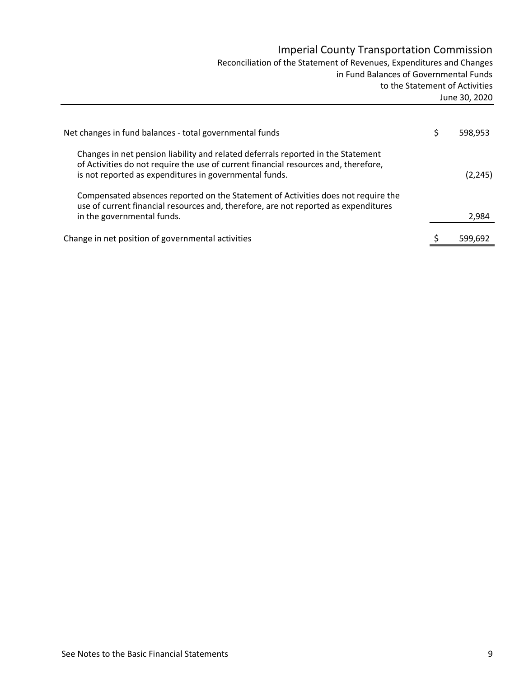# Imperial County Transportation Commission

Reconciliation of the Statement of Revenues, Expenditures and Changes in Fund Balances of Governmental Funds to the Statement of Activities June 30, 2020

| Net changes in fund balances - total governmental funds                                                                                                                                                                           | 598.953  |
|-----------------------------------------------------------------------------------------------------------------------------------------------------------------------------------------------------------------------------------|----------|
| Changes in net pension liability and related deferrals reported in the Statement<br>of Activities do not require the use of current financial resources and, therefore,<br>is not reported as expenditures in governmental funds. | (2, 245) |
| Compensated absences reported on the Statement of Activities does not require the<br>use of current financial resources and, therefore, are not reported as expenditures<br>in the governmental funds.                            | 2,984    |
| Change in net position of governmental activities                                                                                                                                                                                 | 599.692  |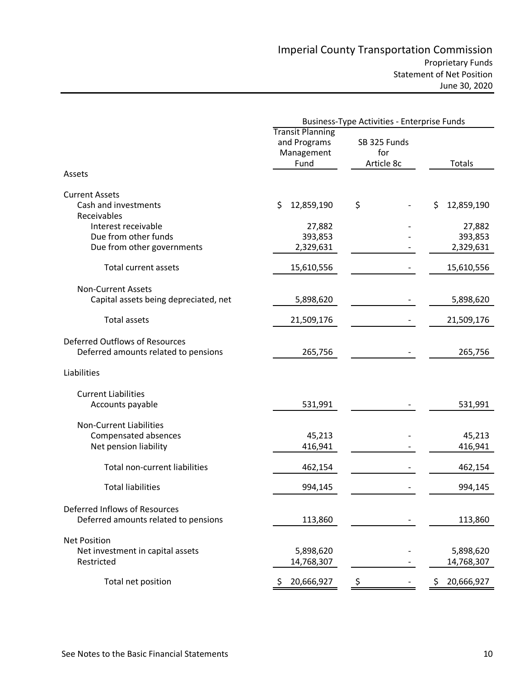|                                                                                 | <b>Business-Type Activities - Enterprise Funds</b>            |                                   |                                |  |  |  |
|---------------------------------------------------------------------------------|---------------------------------------------------------------|-----------------------------------|--------------------------------|--|--|--|
|                                                                                 | <b>Transit Planning</b><br>and Programs<br>Management<br>Fund | SB 325 Funds<br>for<br>Article 8c |                                |  |  |  |
| Assets                                                                          |                                                               |                                   |                                |  |  |  |
| <b>Current Assets</b><br>Cash and investments<br>Receivables                    | \$<br>12,859,190                                              | \$                                | \$<br>12,859,190               |  |  |  |
| Interest receivable<br>Due from other funds<br>Due from other governments       | 27,882<br>393,853<br>2,329,631                                |                                   | 27,882<br>393,853<br>2,329,631 |  |  |  |
| Total current assets                                                            | 15,610,556                                                    |                                   | 15,610,556                     |  |  |  |
| <b>Non-Current Assets</b><br>Capital assets being depreciated, net              | 5,898,620                                                     |                                   | 5,898,620                      |  |  |  |
| <b>Total assets</b>                                                             | 21,509,176                                                    |                                   | 21,509,176                     |  |  |  |
| Deferred Outflows of Resources<br>Deferred amounts related to pensions          | 265,756                                                       |                                   | 265,756                        |  |  |  |
| Liabilities                                                                     |                                                               |                                   |                                |  |  |  |
| <b>Current Liabilities</b><br>Accounts payable                                  | 531,991                                                       |                                   | 531,991                        |  |  |  |
| <b>Non-Current Liabilities</b><br>Compensated absences<br>Net pension liability | 45,213<br>416,941                                             |                                   | 45,213<br>416,941              |  |  |  |
| Total non-current liabilities                                                   | 462,154                                                       |                                   | 462,154                        |  |  |  |
| <b>Total liabilities</b>                                                        | 994,145                                                       |                                   | 994,145                        |  |  |  |
| Deferred Inflows of Resources<br>Deferred amounts related to pensions           | 113,860                                                       |                                   | 113,860                        |  |  |  |
| <b>Net Position</b><br>Net investment in capital assets<br>Restricted           | 5,898,620<br>14,768,307                                       |                                   | 5,898,620<br>14,768,307        |  |  |  |
| Total net position                                                              | 20,666,927                                                    |                                   | 20,666,927                     |  |  |  |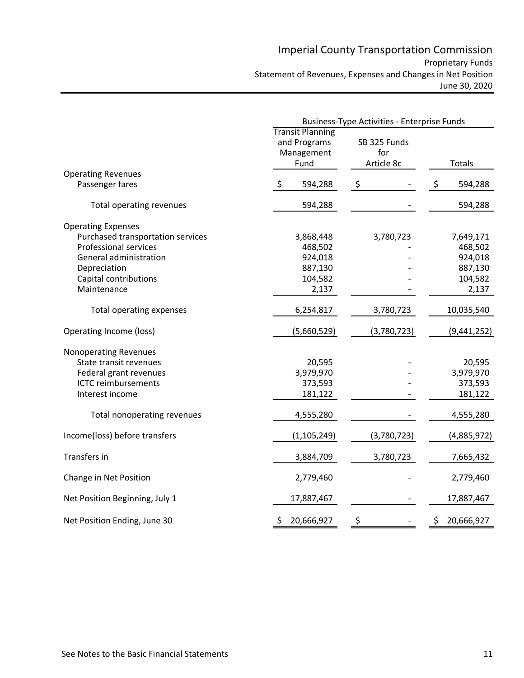# Imperial County Transportation Commission Proprietary Funds Statement of Revenues, Expenses and Changes in Net Position June 30, 2020

|                                                                                                                                                                                  | <b>Business-Type Activities - Enterprise Funds</b>             |                                   |                                                                |  |  |  |
|----------------------------------------------------------------------------------------------------------------------------------------------------------------------------------|----------------------------------------------------------------|-----------------------------------|----------------------------------------------------------------|--|--|--|
|                                                                                                                                                                                  | <b>Transit Planning</b><br>and Programs<br>Management<br>Fund  | SB 325 Funds<br>for<br>Article 8c | <b>Totals</b>                                                  |  |  |  |
| <b>Operating Revenues</b><br>Passenger fares                                                                                                                                     | $\zeta$<br>594,288                                             | $\ddot{\zeta}$                    | \$<br>594,288                                                  |  |  |  |
| Total operating revenues                                                                                                                                                         | 594,288                                                        |                                   | 594,288                                                        |  |  |  |
| <b>Operating Expenses</b><br>Purchased transportation services<br><b>Professional services</b><br>General administration<br>Depreciation<br>Capital contributions<br>Maintenance | 3,868,448<br>468,502<br>924,018<br>887,130<br>104,582<br>2,137 | 3,780,723                         | 7,649,171<br>468,502<br>924,018<br>887,130<br>104,582<br>2,137 |  |  |  |
| Total operating expenses                                                                                                                                                         | 6,254,817                                                      | 3,780,723                         | 10,035,540                                                     |  |  |  |
| Operating Income (loss)                                                                                                                                                          | (5,660,529)                                                    | (3,780,723)                       | (9,441,252)                                                    |  |  |  |
| <b>Nonoperating Revenues</b><br>State transit revenues<br>Federal grant revenues<br><b>ICTC reimbursements</b><br>Interest income<br>Total nonoperating revenues                 | 20,595<br>3,979,970<br>373,593<br>181,122<br>4,555,280         |                                   | 20,595<br>3,979,970<br>373,593<br>181,122<br>4,555,280         |  |  |  |
| Income(loss) before transfers                                                                                                                                                    | (1, 105, 249)                                                  | (3,780,723)                       | (4,885,972)                                                    |  |  |  |
| Transfers in                                                                                                                                                                     | 3,884,709                                                      | 3,780,723                         | 7,665,432                                                      |  |  |  |
| Change in Net Position                                                                                                                                                           | 2,779,460                                                      |                                   | 2,779,460                                                      |  |  |  |
| Net Position Beginning, July 1                                                                                                                                                   | 17,887,467                                                     |                                   | 17,887,467                                                     |  |  |  |
| Net Position Ending, June 30                                                                                                                                                     | 20,666,927<br>\$                                               | \$                                | \$<br>20,666,927                                               |  |  |  |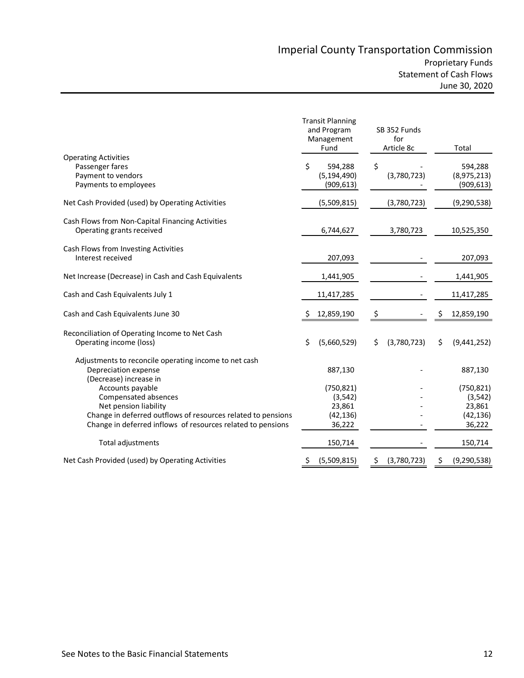|                                                              | <b>Transit Planning</b><br>and Program<br>Management<br>Fund | SB 352 Funds<br>for<br>Article 8c | Total              |
|--------------------------------------------------------------|--------------------------------------------------------------|-----------------------------------|--------------------|
| <b>Operating Activities</b>                                  |                                                              |                                   |                    |
| Passenger fares                                              | Ś<br>594,288                                                 | \$                                | 594,288            |
| Payment to vendors                                           | (5, 194, 490)                                                | (3,780,723)                       | (8,975,213)        |
| Payments to employees                                        | (909, 613)                                                   |                                   | (909, 613)         |
| Net Cash Provided (used) by Operating Activities             | (5,509,815)                                                  | (3,780,723)                       | (9, 290, 538)      |
| Cash Flows from Non-Capital Financing Activities             |                                                              |                                   |                    |
| Operating grants received                                    | 6,744,627                                                    | 3,780,723                         | 10,525,350         |
| Cash Flows from Investing Activities                         |                                                              |                                   |                    |
| Interest received                                            | 207,093                                                      |                                   | 207,093            |
| Net Increase (Decrease) in Cash and Cash Equivalents         | 1,441,905                                                    |                                   | 1,441,905          |
| Cash and Cash Equivalents July 1                             | 11,417,285                                                   |                                   | 11,417,285         |
| Cash and Cash Equivalents June 30                            | 12,859,190                                                   | \$                                | \$<br>12,859,190   |
| Reconciliation of Operating Income to Net Cash               |                                                              |                                   |                    |
| Operating income (loss)                                      | \$<br>(5,660,529)                                            | \$<br>(3,780,723)                 | \$<br>(9,441,252)  |
| Adjustments to reconcile operating income to net cash        |                                                              |                                   |                    |
| Depreciation expense                                         | 887,130                                                      |                                   | 887,130            |
| (Decrease) increase in                                       |                                                              |                                   |                    |
| Accounts payable                                             | (750, 821)                                                   |                                   | (750, 821)         |
| Compensated absences                                         | (3, 542)                                                     |                                   | (3, 542)           |
| Net pension liability                                        | 23,861                                                       |                                   | 23,861             |
| Change in deferred outflows of resources related to pensions | (42, 136)                                                    |                                   | (42, 136)          |
| Change in deferred inflows of resources related to pensions  | 36,222                                                       |                                   | 36,222             |
| Total adjustments                                            | 150,714                                                      |                                   | 150,714            |
| Net Cash Provided (used) by Operating Activities             | (5,509,815)<br>Ş                                             | (3,780,723)<br>Ş                  | (9, 290, 538)<br>Ş |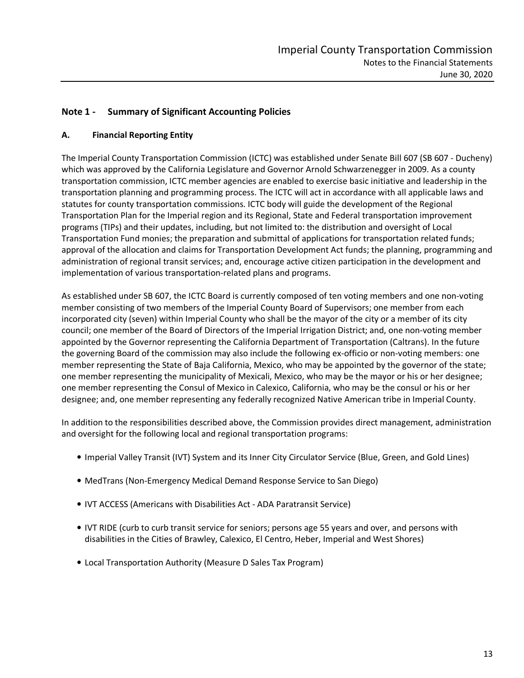# **Note 1 - Summary of Significant Accounting Policies**

#### **A. Financial Reporting Entity**

The Imperial County Transportation Commission (ICTC) was established under Senate Bill 607 (SB 607 - Ducheny) which was approved by the California Legislature and Governor Arnold Schwarzenegger in 2009. As a county transportation commission, ICTC member agencies are enabled to exercise basic initiative and leadership in the transportation planning and programming process. The ICTC will act in accordance with all applicable laws and statutes for county transportation commissions. ICTC body will guide the development of the Regional Transportation Plan for the Imperial region and its Regional, State and Federal transportation improvement programs (TIPs) and their updates, including, but not limited to: the distribution and oversight of Local Transportation Fund monies; the preparation and submittal of applications for transportation related funds; approval of the allocation and claims for Transportation Development Act funds; the planning, programming and administration of regional transit services; and, encourage active citizen participation in the development and implementation of various transportation-related plans and programs.

As established under SB 607, the ICTC Board is currently composed of ten voting members and one non-voting member consisting of two members of the Imperial County Board of Supervisors; one member from each incorporated city (seven) within Imperial County who shall be the mayor of the city or a member of its city council; one member of the Board of Directors of the Imperial Irrigation District; and, one non-voting member appointed by the Governor representing the California Department of Transportation (Caltrans). In the future the governing Board of the commission may also include the following ex-officio or non-voting members: one member representing the State of Baja California, Mexico, who may be appointed by the governor of the state; one member representing the municipality of Mexicali, Mexico, who may be the mayor or his or her designee; one member representing the Consul of Mexico in Calexico, California, who may be the consul or his or her designee; and, one member representing any federally recognized Native American tribe in Imperial County.

In addition to the responsibilities described above, the Commission provides direct management, administration and oversight for the following local and regional transportation programs:

- Imperial Valley Transit (IVT) System and its Inner City Circulator Service (Blue, Green, and Gold Lines)
- MedTrans (Non-Emergency Medical Demand Response Service to San Diego)
- IVT ACCESS (Americans with Disabilities Act ADA Paratransit Service)
- IVT RIDE (curb to curb transit service for seniors; persons age 55 years and over, and persons with disabilities in the Cities of Brawley, Calexico, El Centro, Heber, Imperial and West Shores)
- Local Transportation Authority (Measure D Sales Tax Program)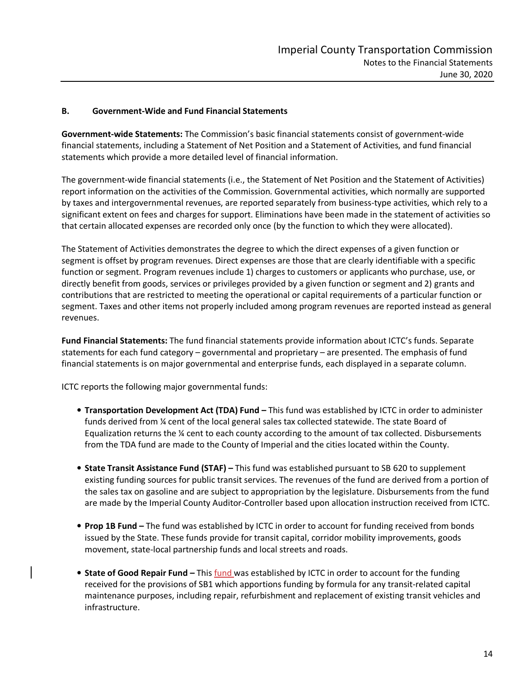#### **B. Government-Wide and Fund Financial Statements**

**Government-wide Statements:** The Commission's basic financial statements consist of government-wide financial statements, including a Statement of Net Position and a Statement of Activities, and fund financial statements which provide a more detailed level of financial information.

The government-wide financial statements (i.e., the Statement of Net Position and the Statement of Activities) report information on the activities of the Commission. Governmental activities, which normally are supported by taxes and intergovernmental revenues, are reported separately from business-type activities, which rely to a significant extent on fees and charges for support. Eliminations have been made in the statement of activities so that certain allocated expenses are recorded only once (by the function to which they were allocated).

The Statement of Activities demonstrates the degree to which the direct expenses of a given function or segment is offset by program revenues. Direct expenses are those that are clearly identifiable with a specific function or segment. Program revenues include 1) charges to customers or applicants who purchase, use, or directly benefit from goods, services or privileges provided by a given function or segment and 2) grants and contributions that are restricted to meeting the operational or capital requirements of a particular function or segment. Taxes and other items not properly included among program revenues are reported instead as general revenues.

**Fund Financial Statements:** The fund financial statements provide information about ICTC's funds. Separate statements for each fund category – governmental and proprietary – are presented. The emphasis of fund financial statements is on major governmental and enterprise funds, each displayed in a separate column.

ICTC reports the following major governmental funds:

- **Transportation Development Act (TDA) Fund –** This fund was established by ICTC in order to administer funds derived from ¼ cent of the local general sales tax collected statewide. The state Board of Equalization returns the  $\frac{1}{4}$  cent to each county according to the amount of tax collected. Disbursements from the TDA fund are made to the County of Imperial and the cities located within the County.
- **State Transit Assistance Fund (STAF) –** This fund was established pursuant to SB 620 to supplement existing funding sources for public transit services. The revenues of the fund are derived from a portion of the sales tax on gasoline and are subject to appropriation by the legislature. Disbursements from the fund are made by the Imperial County Auditor-Controller based upon allocation instruction received from ICTC.
- **Prop 1B Fund** The fund was established by ICTC in order to account for funding received from bonds issued by the State. These funds provide for transit capital, corridor mobility improvements, goods movement, state-local partnership funds and local streets and roads.
- **State of Good Repair Fund** This fund was established by ICTC in order to account for the funding received for the provisions of SB1 which apportions funding by formula for any transit-related capital maintenance purposes, including repair, refurbishment and replacement of existing transit vehicles and infrastructure.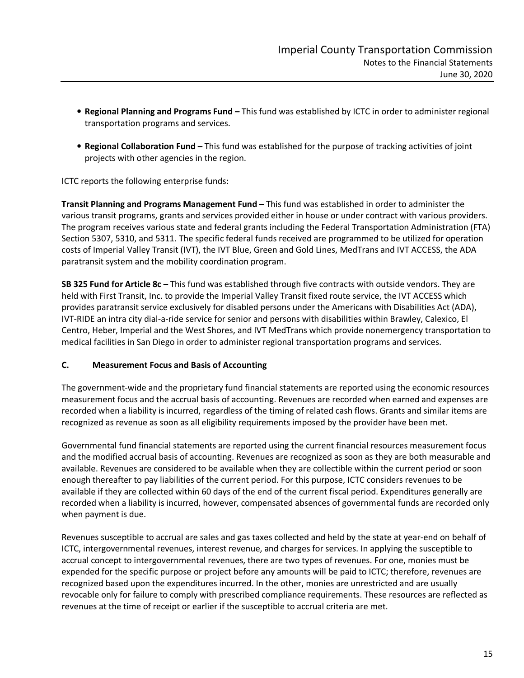- **Regional Planning and Programs Fund –** This fund was established by ICTC in order to administer regional transportation programs and services.
- **Regional Collaboration Fund –** This fund was established for the purpose of tracking activities of joint projects with other agencies in the region.

ICTC reports the following enterprise funds:

**Transit Planning and Programs Management Fund –** This fund was established in order to administer the various transit programs, grants and services provided either in house or under contract with various providers. The program receives various state and federal grants including the Federal Transportation Administration (FTA) Section 5307, 5310, and 5311. The specific federal funds received are programmed to be utilized for operation costs of Imperial Valley Transit (IVT), the IVT Blue, Green and Gold Lines, MedTrans and IVT ACCESS, the ADA paratransit system and the mobility coordination program.

**SB 325 Fund for Article 8c –** This fund was established through five contracts with outside vendors. They are held with First Transit, Inc. to provide the Imperial Valley Transit fixed route service, the IVT ACCESS which provides paratransit service exclusively for disabled persons under the Americans with Disabilities Act (ADA), IVT-RIDE an intra city dial-a-ride service for senior and persons with disabilities within Brawley, Calexico, El Centro, Heber, Imperial and the West Shores, and IVT MedTrans which provide nonemergency transportation to medical facilities in San Diego in order to administer regional transportation programs and services.

## **C. Measurement Focus and Basis of Accounting**

The government-wide and the proprietary fund financial statements are reported using the economic resources measurement focus and the accrual basis of accounting. Revenues are recorded when earned and expenses are recorded when a liability is incurred, regardless of the timing of related cash flows. Grants and similar items are recognized as revenue as soon as all eligibility requirements imposed by the provider have been met.

Governmental fund financial statements are reported using the current financial resources measurement focus and the modified accrual basis of accounting. Revenues are recognized as soon as they are both measurable and available. Revenues are considered to be available when they are collectible within the current period or soon enough thereafter to pay liabilities of the current period. For this purpose, ICTC considers revenues to be available if they are collected within 60 days of the end of the current fiscal period. Expenditures generally are recorded when a liability is incurred, however, compensated absences of governmental funds are recorded only when payment is due.

Revenues susceptible to accrual are sales and gas taxes collected and held by the state at year-end on behalf of ICTC, intergovernmental revenues, interest revenue, and charges for services. In applying the susceptible to accrual concept to intergovernmental revenues, there are two types of revenues. For one, monies must be expended for the specific purpose or project before any amounts will be paid to ICTC; therefore, revenues are recognized based upon the expenditures incurred. In the other, monies are unrestricted and are usually revocable only for failure to comply with prescribed compliance requirements. These resources are reflected as revenues at the time of receipt or earlier if the susceptible to accrual criteria are met.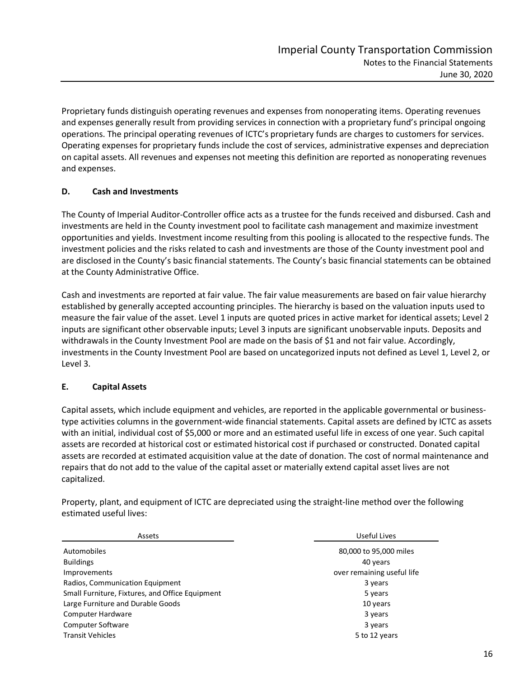Proprietary funds distinguish operating revenues and expenses from nonoperating items. Operating revenues and expenses generally result from providing services in connection with a proprietary fund's principal ongoing operations. The principal operating revenues of ICTC's proprietary funds are charges to customers for services. Operating expenses for proprietary funds include the cost of services, administrative expenses and depreciation on capital assets. All revenues and expenses not meeting this definition are reported as nonoperating revenues and expenses.

## **D. Cash and Investments**

The County of Imperial Auditor-Controller office acts as a trustee for the funds received and disbursed. Cash and investments are held in the County investment pool to facilitate cash management and maximize investment opportunities and yields. Investment income resulting from this pooling is allocated to the respective funds. The investment policies and the risks related to cash and investments are those of the County investment pool and are disclosed in the County's basic financial statements. The County's basic financial statements can be obtained at the County Administrative Office.

Cash and investments are reported at fair value. The fair value measurements are based on fair value hierarchy established by generally accepted accounting principles. The hierarchy is based on the valuation inputs used to measure the fair value of the asset. Level 1 inputs are quoted prices in active market for identical assets; Level 2 inputs are significant other observable inputs; Level 3 inputs are significant unobservable inputs. Deposits and withdrawals in the County Investment Pool are made on the basis of \$1 and not fair value. Accordingly, investments in the County Investment Pool are based on uncategorized inputs not defined as Level 1, Level 2, or Level 3.

## **E. Capital Assets**

Capital assets, which include equipment and vehicles, are reported in the applicable governmental or businesstype activities columns in the government-wide financial statements. Capital assets are defined by ICTC as assets with an initial, individual cost of \$5,000 or more and an estimated useful life in excess of one year. Such capital assets are recorded at historical cost or estimated historical cost if purchased or constructed. Donated capital assets are recorded at estimated acquisition value at the date of donation. The cost of normal maintenance and repairs that do not add to the value of the capital asset or materially extend capital asset lives are not capitalized.

Property, plant, and equipment of ICTC are depreciated using the straight-line method over the following estimated useful lives:

| Assets                                          | Useful Lives               |
|-------------------------------------------------|----------------------------|
| Automobiles                                     | 80,000 to 95,000 miles     |
| <b>Buildings</b>                                | 40 years                   |
| <b>Improvements</b>                             | over remaining useful life |
| Radios, Communication Equipment                 | 3 years                    |
| Small Furniture, Fixtures, and Office Equipment | 5 years                    |
| Large Furniture and Durable Goods               | 10 years                   |
| Computer Hardware                               | 3 years                    |
| <b>Computer Software</b>                        | 3 years                    |
| <b>Transit Vehicles</b>                         | 5 to 12 years              |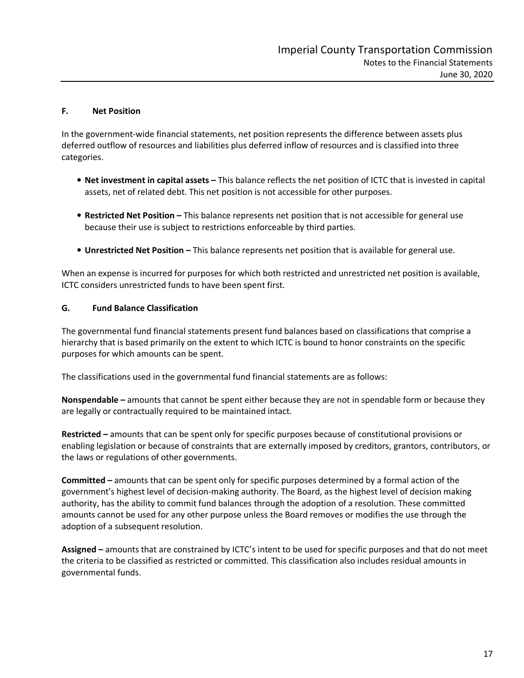#### **F. Net Position**

In the government-wide financial statements, net position represents the difference between assets plus deferred outflow of resources and liabilities plus deferred inflow of resources and is classified into three categories.

- **Net investment in capital assets –** This balance reflects the net position of ICTC that is invested in capital assets, net of related debt. This net position is not accessible for other purposes.
- **Restricted Net Position –** This balance represents net position that is not accessible for general use because their use is subject to restrictions enforceable by third parties.
- **Unrestricted Net Position** This balance represents net position that is available for general use.

When an expense is incurred for purposes for which both restricted and unrestricted net position is available, ICTC considers unrestricted funds to have been spent first.

#### **G. Fund Balance Classification**

The governmental fund financial statements present fund balances based on classifications that comprise a hierarchy that is based primarily on the extent to which ICTC is bound to honor constraints on the specific purposes for which amounts can be spent.

The classifications used in the governmental fund financial statements are as follows:

**Nonspendable –** amounts that cannot be spent either because they are not in spendable form or because they are legally or contractually required to be maintained intact.

**Restricted –** amounts that can be spent only for specific purposes because of constitutional provisions or enabling legislation or because of constraints that are externally imposed by creditors, grantors, contributors, or the laws or regulations of other governments.

**Committed –** amounts that can be spent only for specific purposes determined by a formal action of the government's highest level of decision-making authority. The Board, as the highest level of decision making authority, has the ability to commit fund balances through the adoption of a resolution. These committed amounts cannot be used for any other purpose unless the Board removes or modifies the use through the adoption of a subsequent resolution.

**Assigned –** amounts that are constrained by ICTC's intent to be used for specific purposes and that do not meet the criteria to be classified as restricted or committed. This classification also includes residual amounts in governmental funds.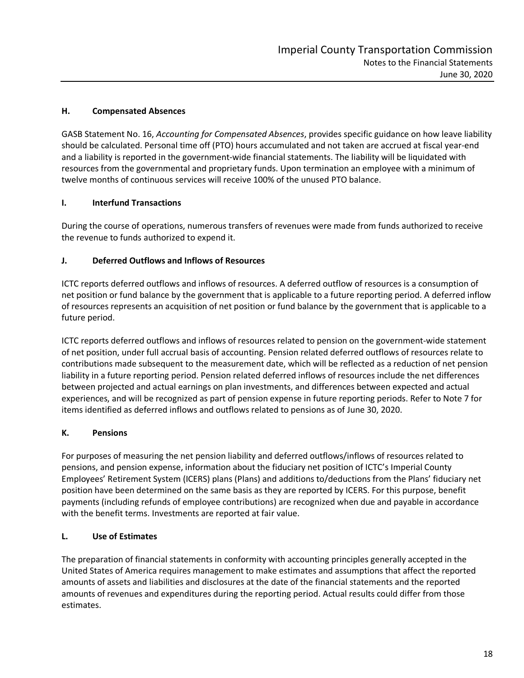#### **H. Compensated Absences**

GASB Statement No. 16, *Accounting for Compensated Absences*, provides specific guidance on how leave liability should be calculated. Personal time off (PTO) hours accumulated and not taken are accrued at fiscal year-end and a liability is reported in the government-wide financial statements. The liability will be liquidated with resources from the governmental and proprietary funds. Upon termination an employee with a minimum of twelve months of continuous services will receive 100% of the unused PTO balance.

#### **I. Interfund Transactions**

During the course of operations, numerous transfers of revenues were made from funds authorized to receive the revenue to funds authorized to expend it.

#### **J. Deferred Outflows and Inflows of Resources**

ICTC reports deferred outflows and inflows of resources. A deferred outflow of resources is a consumption of net position or fund balance by the government that is applicable to a future reporting period. A deferred inflow of resources represents an acquisition of net position or fund balance by the government that is applicable to a future period.

ICTC reports deferred outflows and inflows of resources related to pension on the government-wide statement of net position, under full accrual basis of accounting. Pension related deferred outflows of resources relate to contributions made subsequent to the measurement date, which will be reflected as a reduction of net pension liability in a future reporting period. Pension related deferred inflows of resources include the net differences between projected and actual earnings on plan investments, and differences between expected and actual experiences, and will be recognized as part of pension expense in future reporting periods. Refer to Note 7 for items identified as deferred inflows and outflows related to pensions as of June 30, 2020.

#### **K. Pensions**

For purposes of measuring the net pension liability and deferred outflows/inflows of resources related to pensions, and pension expense, information about the fiduciary net position of ICTC's Imperial County Employees' Retirement System (ICERS) plans (Plans) and additions to/deductions from the Plans' fiduciary net position have been determined on the same basis as they are reported by ICERS. For this purpose, benefit payments (including refunds of employee contributions) are recognized when due and payable in accordance with the benefit terms. Investments are reported at fair value.

## **L. Use of Estimates**

The preparation of financial statements in conformity with accounting principles generally accepted in the United States of America requires management to make estimates and assumptions that affect the reported amounts of assets and liabilities and disclosures at the date of the financial statements and the reported amounts of revenues and expenditures during the reporting period. Actual results could differ from those estimates.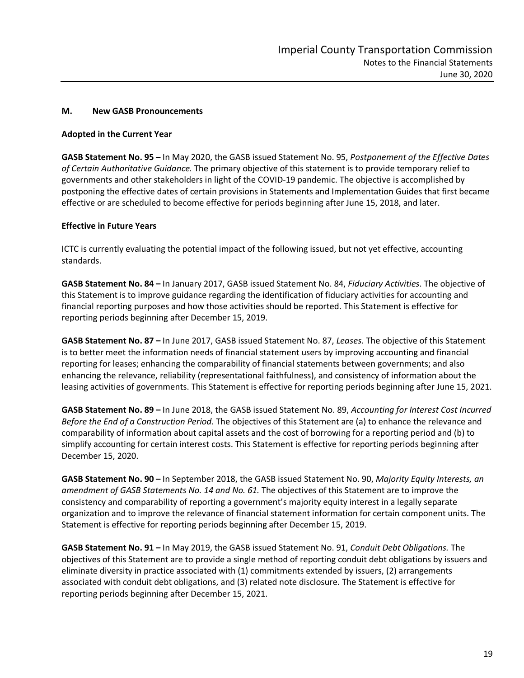#### **M. New GASB Pronouncements**

#### **Adopted in the Current Year**

**GASB Statement No. 95 –** In May 2020, the GASB issued Statement No. 95, *Postponement of the Effective Dates of Certain Authoritative Guidance.* The primary objective of this statement is to provide temporary relief to governments and other stakeholders in light of the COVID-19 pandemic. The objective is accomplished by postponing the effective dates of certain provisions in Statements and Implementation Guides that first became effective or are scheduled to become effective for periods beginning after June 15, 2018, and later.

#### **Effective in Future Years**

ICTC is currently evaluating the potential impact of the following issued, but not yet effective, accounting standards.

**GASB Statement No. 84 –** In January 2017, GASB issued Statement No. 84, *Fiduciary Activities*. The objective of this Statement is to improve guidance regarding the identification of fiduciary activities for accounting and financial reporting purposes and how those activities should be reported. This Statement is effective for reporting periods beginning after December 15, 2019.

**GASB Statement No. 87 –** In June 2017, GASB issued Statement No. 87, *Leases*. The objective of this Statement is to better meet the information needs of financial statement users by improving accounting and financial reporting for leases; enhancing the comparability of financial statements between governments; and also enhancing the relevance, reliability (representational faithfulness), and consistency of information about the leasing activities of governments. This Statement is effective for reporting periods beginning after June 15, 2021.

**GASB Statement No. 89 –** In June 2018, the GASB issued Statement No. 89, *Accounting for Interest Cost Incurred Before the End of a Construction Period*. The objectives of this Statement are (a) to enhance the relevance and comparability of information about capital assets and the cost of borrowing for a reporting period and (b) to simplify accounting for certain interest costs. This Statement is effective for reporting periods beginning after December 15, 2020.

**GASB Statement No. 90 –** In September 2018, the GASB issued Statement No. 90, *Majority Equity Interests, an amendment of GASB Statements No. 14 and No. 61.* The objectives of this Statement are to improve the consistency and comparability of reporting a government's majority equity interest in a legally separate organization and to improve the relevance of financial statement information for certain component units. The Statement is effective for reporting periods beginning after December 15, 2019.

**GASB Statement No. 91 –** In May 2019, the GASB issued Statement No. 91, *Conduit Debt Obligations.* The objectives of this Statement are to provide a single method of reporting conduit debt obligations by issuers and eliminate diversity in practice associated with (1) commitments extended by issuers, (2) arrangements associated with conduit debt obligations, and (3) related note disclosure. The Statement is effective for reporting periods beginning after December 15, 2021.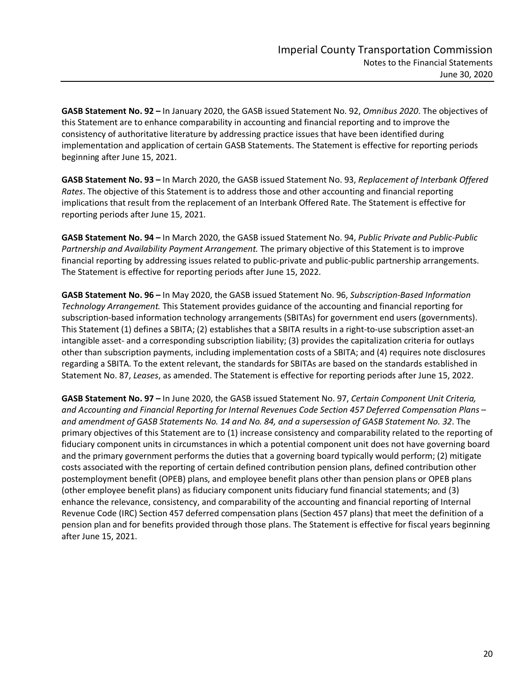**GASB Statement No. 92 –** In January 2020, the GASB issued Statement No. 92, *Omnibus 2020*. The objectives of this Statement are to enhance comparability in accounting and financial reporting and to improve the consistency of authoritative literature by addressing practice issues that have been identified during implementation and application of certain GASB Statements. The Statement is effective for reporting periods beginning after June 15, 2021.

**GASB Statement No. 93 –** In March 2020, the GASB issued Statement No. 93, *Replacement of Interbank Offered Rates*. The objective of this Statement is to address those and other accounting and financial reporting implications that result from the replacement of an Interbank Offered Rate. The Statement is effective for reporting periods after June 15, 2021.

**GASB Statement No. 94 –** In March 2020, the GASB issued Statement No. 94, *Public Private and Public-Public Partnership and Availability Payment Arrangement.* The primary objective of this Statement is to improve financial reporting by addressing issues related to public-private and public-public partnership arrangements. The Statement is effective for reporting periods after June 15, 2022.

**GASB Statement No. 96 –** In May 2020, the GASB issued Statement No. 96, *Subscription-Based Information Technology Arrangement.* This Statement provides guidance of the accounting and financial reporting for subscription-based information technology arrangements (SBITAs) for government end users (governments). This Statement (1) defines a SBITA; (2) establishes that a SBITA results in a right-to-use subscription asset-an intangible asset- and a corresponding subscription liability; (3) provides the capitalization criteria for outlays other than subscription payments, including implementation costs of a SBITA; and (4) requires note disclosures regarding a SBITA. To the extent relevant, the standards for SBITAs are based on the standards established in Statement No. 87, *Leases*, as amended. The Statement is effective for reporting periods after June 15, 2022.

**GASB Statement No. 97 –** In June 2020, the GASB issued Statement No. 97, *Certain Component Unit Criteria, and Accounting and Financial Reporting for Internal Revenues Code Section 457 Deferred Compensation Plans – and amendment of GASB Statements No. 14 and No. 84, and a supersession of GASB Statement No. 32*. The primary objectives of this Statement are to (1) increase consistency and comparability related to the reporting of fiduciary component units in circumstances in which a potential component unit does not have governing board and the primary government performs the duties that a governing board typically would perform; (2) mitigate costs associated with the reporting of certain defined contribution pension plans, defined contribution other postemployment benefit (OPEB) plans, and employee benefit plans other than pension plans or OPEB plans (other employee benefit plans) as fiduciary component units fiduciary fund financial statements; and (3) enhance the relevance, consistency, and comparability of the accounting and financial reporting of Internal Revenue Code (IRC) Section 457 deferred compensation plans (Section 457 plans) that meet the definition of a pension plan and for benefits provided through those plans. The Statement is effective for fiscal years beginning after June 15, 2021.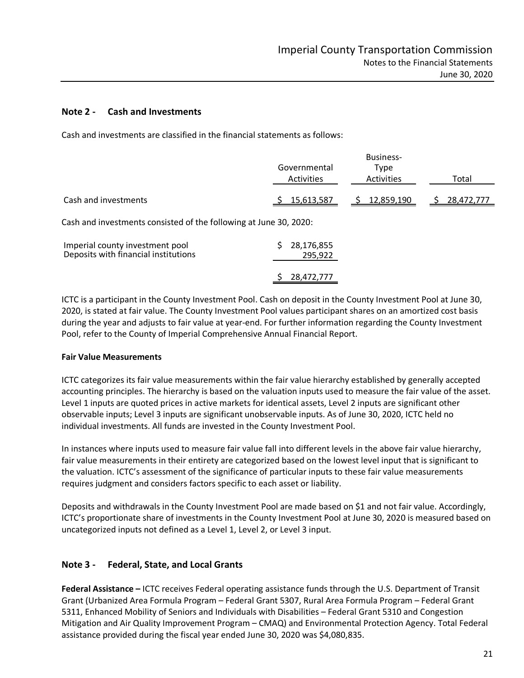#### **Note 2 - Cash and Investments**

Cash and investments are classified in the financial statements as follows:

|                                                                   | Governmental<br>Activities | <b>Business-</b><br>Type<br>Activities | Total      |  |  |  |  |
|-------------------------------------------------------------------|----------------------------|----------------------------------------|------------|--|--|--|--|
| Cash and investments                                              | 15,613,587                 | \$12,859,190                           | 28,472,777 |  |  |  |  |
| Cash and investments consisted of the following at June 30, 2020: |                            |                                        |            |  |  |  |  |
| Imperial county investment pool                                   | 28 176 855                 |                                        |            |  |  |  |  |

| Deposits with financial institutions |  | 295,922      |
|--------------------------------------|--|--------------|
|                                      |  | \$28,472,777 |
|                                      |  |              |

ICTC is a participant in the County Investment Pool. Cash on deposit in the County Investment Pool at June 30, 2020, is stated at fair value. The County Investment Pool values participant shares on an amortized cost basis during the year and adjusts to fair value at year-end. For further information regarding the County Investment Pool, refer to the County of Imperial Comprehensive Annual Financial Report.

#### **Fair Value Measurements**

ICTC categorizes its fair value measurements within the fair value hierarchy established by generally accepted accounting principles. The hierarchy is based on the valuation inputs used to measure the fair value of the asset. Level 1 inputs are quoted prices in active markets for identical assets, Level 2 inputs are significant other observable inputs; Level 3 inputs are significant unobservable inputs. As of June 30, 2020, ICTC held no individual investments. All funds are invested in the County Investment Pool.

In instances where inputs used to measure fair value fall into different levels in the above fair value hierarchy, fair value measurements in their entirety are categorized based on the lowest level input that is significant to the valuation. ICTC's assessment of the significance of particular inputs to these fair value measurements requires judgment and considers factors specific to each asset or liability.

Deposits and withdrawals in the County Investment Pool are made based on \$1 and not fair value. Accordingly, ICTC's proportionate share of investments in the County Investment Pool at June 30, 2020 is measured based on uncategorized inputs not defined as a Level 1, Level 2, or Level 3 input.

## **Note 3 - Federal, State, and Local Grants**

**Federal Assistance –** ICTC receives Federal operating assistance funds through the U.S. Department of Transit Grant (Urbanized Area Formula Program – Federal Grant 5307, Rural Area Formula Program – Federal Grant 5311, Enhanced Mobility of Seniors and Individuals with Disabilities – Federal Grant 5310 and Congestion Mitigation and Air Quality Improvement Program – CMAQ) and Environmental Protection Agency. Total Federal assistance provided during the fiscal year ended June 30, 2020 was \$4,080,835.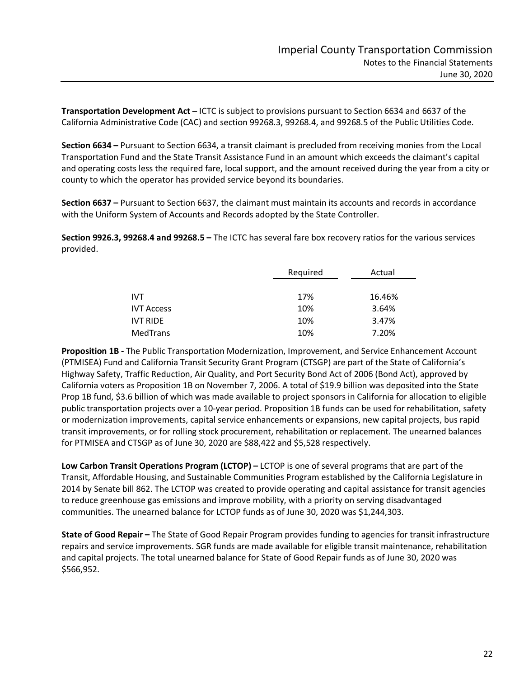**Transportation Development Act –** ICTC is subject to provisions pursuant to Section 6634 and 6637 of the California Administrative Code (CAC) and section 99268.3, 99268.4, and 99268.5 of the Public Utilities Code.

**Section 6634 –** Pursuant to Section 6634, a transit claimant is precluded from receiving monies from the Local Transportation Fund and the State Transit Assistance Fund in an amount which exceeds the claimant's capital and operating costs less the required fare, local support, and the amount received during the year from a city or county to which the operator has provided service beyond its boundaries.

**Section 6637 –** Pursuant to Section 6637, the claimant must maintain its accounts and records in accordance with the Uniform System of Accounts and Records adopted by the State Controller.

**Section 9926.3, 99268.4 and 99268.5 –** The ICTC has several fare box recovery ratios for the various services provided.

|                   | Required | Actual |
|-------------------|----------|--------|
|                   |          |        |
| <b>IVT</b>        | 17%      | 16.46% |
| <b>IVT Access</b> | 10%      | 3.64%  |
| <b>IVT RIDE</b>   | 10%      | 3.47%  |
| MedTrans          | 10%      | 7.20%  |

**Proposition 1B -** The Public Transportation Modernization, Improvement, and Service Enhancement Account (PTMISEA) Fund and California Transit Security Grant Program (CTSGP) are part of the State of California's Highway Safety, Traffic Reduction, Air Quality, and Port Security Bond Act of 2006 (Bond Act), approved by California voters as Proposition 1B on November 7, 2006. A total of \$19.9 billion was deposited into the State Prop 1B fund, \$3.6 billion of which was made available to project sponsors in California for allocation to eligible public transportation projects over a 10-year period. Proposition 1B funds can be used for rehabilitation, safety or modernization improvements, capital service enhancements or expansions, new capital projects, bus rapid transit improvements, or for rolling stock procurement, rehabilitation or replacement. The unearned balances for PTMISEA and CTSGP as of June 30, 2020 are \$88,422 and \$5,528 respectively.

**Low Carbon Transit Operations Program (LCTOP) –** LCTOP is one of several programs that are part of the Transit, Affordable Housing, and Sustainable Communities Program established by the California Legislature in 2014 by Senate bill 862. The LCTOP was created to provide operating and capital assistance for transit agencies to reduce greenhouse gas emissions and improve mobility, with a priority on serving disadvantaged communities. The unearned balance for LCTOP funds as of June 30, 2020 was \$1,244,303.

**State of Good Repair –** The State of Good Repair Program provides funding to agencies for transit infrastructure repairs and service improvements. SGR funds are made available for eligible transit maintenance, rehabilitation and capital projects. The total unearned balance for State of Good Repair funds as of June 30, 2020 was \$566,952.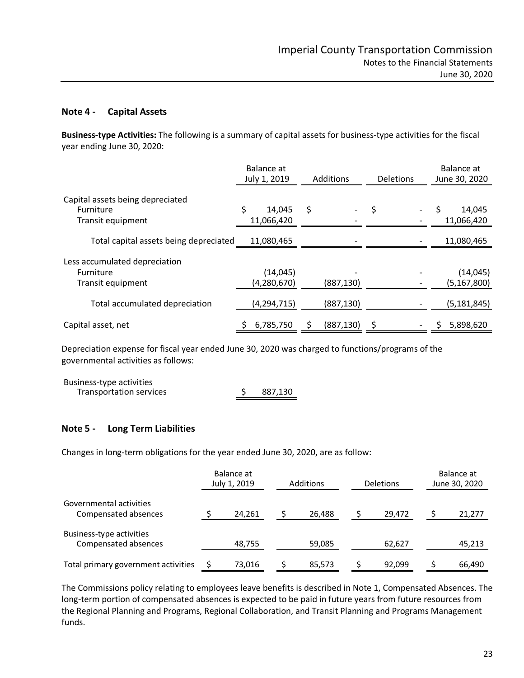#### **Note 4 - Capital Assets**

**Business-type Activities:** The following is a summary of capital assets for business-type activities for the fiscal year ending June 30, 2020:

|                                        | Balance at<br>July 1, 2019 | Additions  | <b>Deletions</b> | Balance at<br>June 30, 2020 |  |
|----------------------------------------|----------------------------|------------|------------------|-----------------------------|--|
| Capital assets being depreciated       | \$                         |            |                  |                             |  |
| Furniture<br>Transit equipment         | 14,045<br>11,066,420       | \$         | \$               | 14,045<br>11,066,420        |  |
| Total capital assets being depreciated | 11,080,465                 |            |                  | 11,080,465                  |  |
| Less accumulated depreciation          |                            |            |                  |                             |  |
| <b>Furniture</b>                       | (14, 045)                  |            |                  | (14, 045)                   |  |
| Transit equipment                      | (4, 280, 670)              | (887, 130) |                  | (5, 167, 800)               |  |
| Total accumulated depreciation         | (4, 294, 715)              | (887, 130) |                  | (5, 181, 845)               |  |
| Capital asset, net                     | 6,785,750                  | (887, 130) | Ś                | 5,898,620                   |  |

Depreciation expense for fiscal year ended June 30, 2020 was charged to functions/programs of the governmental activities as follows:

| Business-type activities |         |
|--------------------------|---------|
| Transportation services  | 887,130 |

## **Note 5 - Long Term Liabilities**

Changes in long-term obligations for the year ended June 30, 2020, are as follow:

|                                                  | Balance at<br>July 1, 2019 | <b>Additions</b> | <b>Deletions</b> | Balance at<br>June 30, 2020 |
|--------------------------------------------------|----------------------------|------------------|------------------|-----------------------------|
| Governmental activities<br>Compensated absences  | 24,261                     | 26,488           | 29,472           | 21,277                      |
| Business-type activities<br>Compensated absences | 48,755                     | 59,085           | 62,627           | 45,213                      |
| Total primary government activities              | 73,016                     | 85,573           | 92.099           | 66,490                      |

The Commissions policy relating to employees leave benefits is described in Note 1, Compensated Absences. The long-term portion of compensated absences is expected to be paid in future years from future resources from the Regional Planning and Programs, Regional Collaboration, and Transit Planning and Programs Management funds.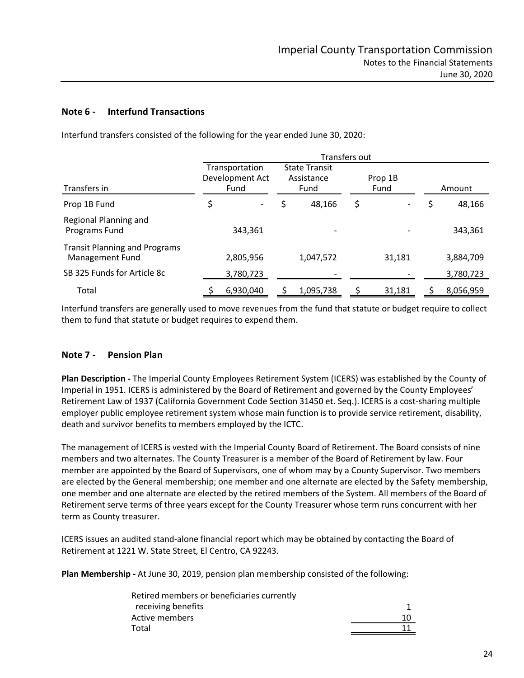# **Note 6 - Interfund Transactions**

|                                                         | Transfers out |                                           |    |                                            |    |                 |              |
|---------------------------------------------------------|---------------|-------------------------------------------|----|--------------------------------------------|----|-----------------|--------------|
| Transfers in                                            |               | Transportation<br>Development Act<br>Fund |    | <b>State Transit</b><br>Assistance<br>Fund |    | Prop 1B<br>Fund | Amount       |
| Prop 1B Fund                                            | \$            |                                           | \$ | 48,166                                     | \$ |                 | \$<br>48,166 |
| Regional Planning and<br>Programs Fund                  |               | 343.361                                   |    |                                            |    |                 | 343,361      |
| <b>Transit Planning and Programs</b><br>Management Fund |               | 2,805,956                                 |    | 1,047,572                                  |    | 31,181          | 3,884,709    |
| SB 325 Funds for Article 8c                             |               | 3,780,723                                 |    |                                            |    |                 | 3,780,723    |
| Total                                                   |               | 6,930,040                                 |    | 1,095,738                                  |    | 31,181          | 8,056,959    |

Interfund transfers consisted of the following for the year ended June 30, 2020:

Interfund transfers are generally used to move revenues from the fund that statute or budget require to collect them to fund that statute or budget requires to expend them.

## **Note 7 - Pension Plan**

**Plan Description -** The Imperial County Employees Retirement System (ICERS) was established by the County of Imperial in 1951. ICERS is administered by the Board of Retirement and governed by the County Employees' Retirement Law of 1937 (California Government Code Section 31450 et. Seq.). ICERS is a cost-sharing multiple employer public employee retirement system whose main function is to provide service retirement, disability, death and survivor benefits to members employed by the ICTC.

The management of ICERS is vested with the Imperial County Board of Retirement. The Board consists of nine members and two alternates. The County Treasurer is a member of the Board of Retirement by law. Four member are appointed by the Board of Supervisors, one of whom may by a County Supervisor. Two members are elected by the General membership; one member and one alternate are elected by the Safety membership, one member and one alternate are elected by the retired members of the System. All members of the Board of Retirement serve terms of three years except for the County Treasurer whose term runs concurrent with her term as County treasurer.

ICERS issues an audited stand-alone financial report which may be obtained by contacting the Board of Retirement at 1221 W. State Street, El Centro, CA 92243.

**Plan Membership -** At June 30, 2019, pension plan membership consisted of the following:

| Retired members or beneficiaries currently |    |
|--------------------------------------------|----|
| receiving benefits                         |    |
| Active members                             | 10 |
| Total                                      |    |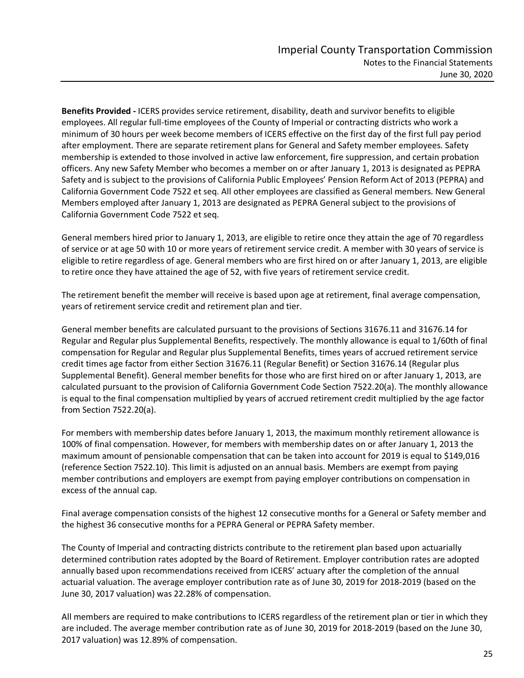**Benefits Provided -** ICERS provides service retirement, disability, death and survivor benefits to eligible employees. All regular full-time employees of the County of Imperial or contracting districts who work a minimum of 30 hours per week become members of ICERS effective on the first day of the first full pay period after employment. There are separate retirement plans for General and Safety member employees. Safety membership is extended to those involved in active law enforcement, fire suppression, and certain probation officers. Any new Safety Member who becomes a member on or after January 1, 2013 is designated as PEPRA Safety and is subject to the provisions of California Public Employees' Pension Reform Act of 2013 (PEPRA) and California Government Code 7522 et seq. All other employees are classified as General members. New General Members employed after January 1, 2013 are designated as PEPRA General subject to the provisions of California Government Code 7522 et seq.

General members hired prior to January 1, 2013, are eligible to retire once they attain the age of 70 regardless of service or at age 50 with 10 or more years of retirement service credit. A member with 30 years of service is eligible to retire regardless of age. General members who are first hired on or after January 1, 2013, are eligible to retire once they have attained the age of 52, with five years of retirement service credit.

The retirement benefit the member will receive is based upon age at retirement, final average compensation, years of retirement service credit and retirement plan and tier.

General member benefits are calculated pursuant to the provisions of Sections 31676.11 and 31676.14 for Regular and Regular plus Supplemental Benefits, respectively. The monthly allowance is equal to 1/60th of final compensation for Regular and Regular plus Supplemental Benefits, times years of accrued retirement service credit times age factor from either Section 31676.11 (Regular Benefit) or Section 31676.14 (Regular plus Supplemental Benefit). General member benefits for those who are first hired on or after January 1, 2013, are calculated pursuant to the provision of California Government Code Section 7522.20(a). The monthly allowance is equal to the final compensation multiplied by years of accrued retirement credit multiplied by the age factor from Section 7522.20(a).

For members with membership dates before January 1, 2013, the maximum monthly retirement allowance is 100% of final compensation. However, for members with membership dates on or after January 1, 2013 the maximum amount of pensionable compensation that can be taken into account for 2019 is equal to \$149,016 (reference Section 7522.10). This limit is adjusted on an annual basis. Members are exempt from paying member contributions and employers are exempt from paying employer contributions on compensation in excess of the annual cap.

Final average compensation consists of the highest 12 consecutive months for a General or Safety member and the highest 36 consecutive months for a PEPRA General or PEPRA Safety member.

The County of Imperial and contracting districts contribute to the retirement plan based upon actuarially determined contribution rates adopted by the Board of Retirement. Employer contribution rates are adopted annually based upon recommendations received from ICERS' actuary after the completion of the annual actuarial valuation. The average employer contribution rate as of June 30, 2019 for 2018-2019 (based on the June 30, 2017 valuation) was 22.28% of compensation.

All members are required to make contributions to ICERS regardless of the retirement plan or tier in which they are included. The average member contribution rate as of June 30, 2019 for 2018-2019 (based on the June 30, 2017 valuation) was 12.89% of compensation.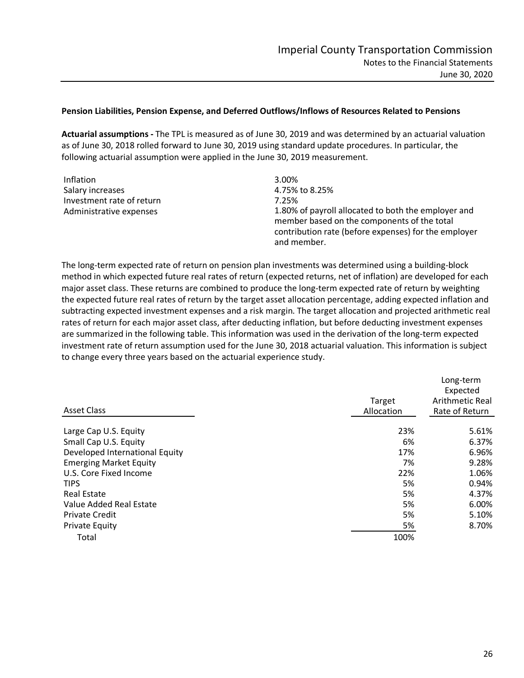#### **Pension Liabilities, Pension Expense, and Deferred Outflows/Inflows of Resources Related to Pensions**

**Actuarial assumptions -** The TPL is measured as of June 30, 2019 and was determined by an actuarial valuation as of June 30, 2018 rolled forward to June 30, 2019 using standard update procedures. In particular, the following actuarial assumption were applied in the June 30, 2019 measurement.

| Inflation                 | 3.00%                                                                                                                                                                     |
|---------------------------|---------------------------------------------------------------------------------------------------------------------------------------------------------------------------|
| Salary increases          | 4.75% to 8.25%                                                                                                                                                            |
| Investment rate of return | 7.25%                                                                                                                                                                     |
| Administrative expenses   | 1.80% of payroll allocated to both the employer and<br>member based on the components of the total<br>contribution rate (before expenses) for the employer<br>and member. |

The long-term expected rate of return on pension plan investments was determined using a building-block method in which expected future real rates of return (expected returns, net of inflation) are developed for each major asset class. These returns are combined to produce the long-term expected rate of return by weighting the expected future real rates of return by the target asset allocation percentage, adding expected inflation and subtracting expected investment expenses and a risk margin. The target allocation and projected arithmetic real rates of return for each major asset class, after deducting inflation, but before deducting investment expenses are summarized in the following table. This information was used in the derivation of the long-term expected investment rate of return assumption used for the June 30, 2018 actuarial valuation. This information is subject to change every three years based on the actuarial experience study.

| <b>Asset Class</b>             | Target<br>Allocation | Long-term<br>Expected<br>Arithmetic Real<br>Rate of Return |
|--------------------------------|----------------------|------------------------------------------------------------|
| Large Cap U.S. Equity          | 23%                  | 5.61%                                                      |
| Small Cap U.S. Equity          | 6%                   | 6.37%                                                      |
| Developed International Equity | 17%                  | 6.96%                                                      |
| <b>Emerging Market Equity</b>  | 7%                   | 9.28%                                                      |
| U.S. Core Fixed Income         | 22%                  | 1.06%                                                      |
| <b>TIPS</b>                    | 5%                   | 0.94%                                                      |
| <b>Real Estate</b>             | 5%                   | 4.37%                                                      |
| Value Added Real Estate        | 5%                   | 6.00%                                                      |
| <b>Private Credit</b>          | 5%                   | 5.10%                                                      |
| <b>Private Equity</b>          | 5%                   | 8.70%                                                      |
| Total                          | 100%                 |                                                            |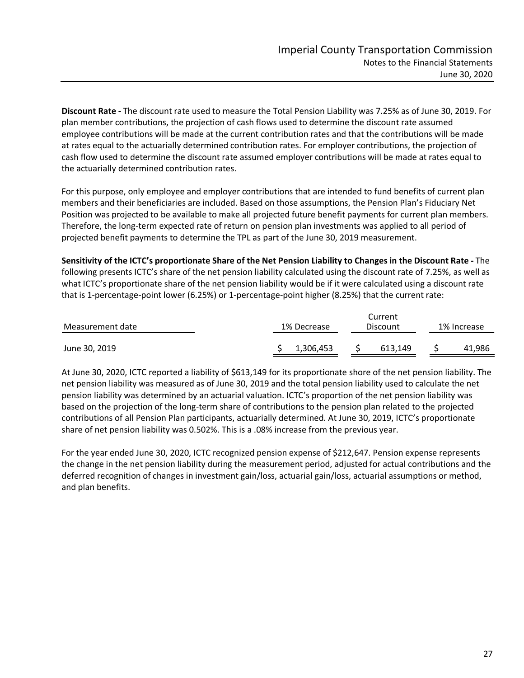**Discount Rate -** The discount rate used to measure the Total Pension Liability was 7.25% as of June 30, 2019. For plan member contributions, the projection of cash flows used to determine the discount rate assumed employee contributions will be made at the current contribution rates and that the contributions will be made at rates equal to the actuarially determined contribution rates. For employer contributions, the projection of cash flow used to determine the discount rate assumed employer contributions will be made at rates equal to the actuarially determined contribution rates.

For this purpose, only employee and employer contributions that are intended to fund benefits of current plan members and their beneficiaries are included. Based on those assumptions, the Pension Plan's Fiduciary Net Position was projected to be available to make all projected future benefit payments for current plan members. Therefore, the long-term expected rate of return on pension plan investments was applied to all period of projected benefit payments to determine the TPL as part of the June 30, 2019 measurement.

**Sensitivity of the ICTC's proportionate Share of the Net Pension Liability to Changes in the Discount Rate -** The following presents ICTC's share of the net pension liability calculated using the discount rate of 7.25%, as well as what ICTC's proportionate share of the net pension liability would be if it were calculated using a discount rate that is 1-percentage-point lower (6.25%) or 1-percentage-point higher (8.25%) that the current rate:

| Measurement date | 1% Decrease | Current<br>Discount |  |        |  |
|------------------|-------------|---------------------|--|--------|--|
| June 30, 2019    | 1,306,453   | 613.149             |  | 41.986 |  |

At June 30, 2020, ICTC reported a liability of \$613,149 for its proportionate shore of the net pension liability. The net pension liability was measured as of June 30, 2019 and the total pension liability used to calculate the net pension liability was determined by an actuarial valuation. ICTC's proportion of the net pension liability was based on the projection of the long-term share of contributions to the pension plan related to the projected contributions of all Pension Plan participants, actuarially determined. At June 30, 2019, ICTC's proportionate share of net pension liability was 0.502%. This is a .08% increase from the previous year.

For the year ended June 30, 2020, ICTC recognized pension expense of \$212,647. Pension expense represents the change in the net pension liability during the measurement period, adjusted for actual contributions and the deferred recognition of changes in investment gain/loss, actuarial gain/loss, actuarial assumptions or method, and plan benefits.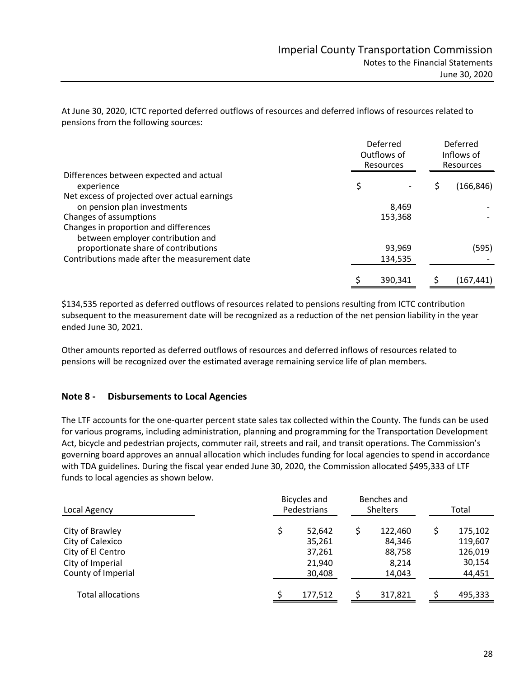At June 30, 2020, ICTC reported deferred outflows of resources and deferred inflows of resources related to pensions from the following sources:

|                                                                            | Deferred<br>Outflows of<br>Resources |  | Deferred<br>Inflows of<br><b>Resources</b> |  |
|----------------------------------------------------------------------------|--------------------------------------|--|--------------------------------------------|--|
| Differences between expected and actual<br>experience                      | \$                                   |  | (166, 846)                                 |  |
| Net excess of projected over actual earnings                               |                                      |  |                                            |  |
| on pension plan investments                                                | 8,469                                |  |                                            |  |
| Changes of assumptions                                                     | 153,368                              |  |                                            |  |
| Changes in proportion and differences<br>between employer contribution and |                                      |  |                                            |  |
| proportionate share of contributions                                       | 93,969                               |  | (595)                                      |  |
| Contributions made after the measurement date                              | 134.535                              |  |                                            |  |
|                                                                            | 390,341                              |  | (167,441)                                  |  |

\$134,535 reported as deferred outflows of resources related to pensions resulting from ICTC contribution subsequent to the measurement date will be recognized as a reduction of the net pension liability in the year ended June 30, 2021.

Other amounts reported as deferred outflows of resources and deferred inflows of resources related to pensions will be recognized over the estimated average remaining service life of plan members.

## **Note 8 - Disbursements to Local Agencies**

The LTF accounts for the one-quarter percent state sales tax collected within the County. The funds can be used for various programs, including administration, planning and programming for the Transportation Development Act, bicycle and pedestrian projects, commuter rail, streets and rail, and transit operations. The Commission's governing board approves an annual allocation which includes funding for local agencies to spend in accordance with TDA guidelines. During the fiscal year ended June 30, 2020, the Commission allocated \$495,333 of LTF funds to local agencies as shown below.

| Local Agency             |   | Bicycles and<br>Benches and<br>Pedestrians<br><b>Shelters</b> |  | Total   |   |         |
|--------------------------|---|---------------------------------------------------------------|--|---------|---|---------|
| City of Brawley          | Ś | 52,642                                                        |  | 122,460 | S | 175,102 |
| City of Calexico         |   | 35,261                                                        |  | 84,346  |   | 119,607 |
| City of El Centro        |   | 37,261                                                        |  | 88,758  |   | 126,019 |
| City of Imperial         |   | 21,940                                                        |  | 8,214   |   | 30,154  |
| County of Imperial       |   | 30,408                                                        |  | 14,043  |   | 44,451  |
| <b>Total allocations</b> |   | 177,512                                                       |  | 317,821 |   | 495,333 |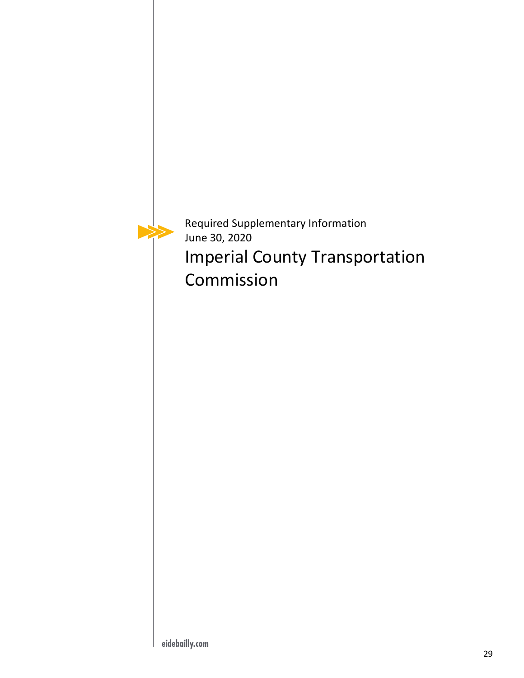Required Supplementary Information June 30, 2020 Imperial County Transportation Commission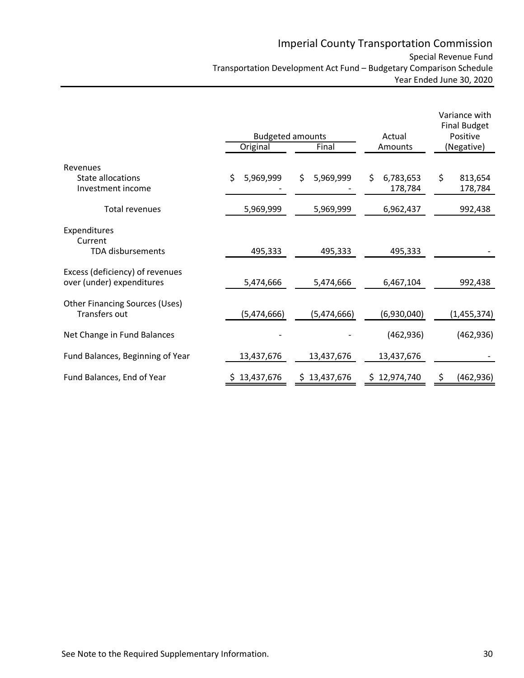|                                                              |                 | <b>Budgeted amounts</b> | Actual                     | Variance with<br><b>Final Budget</b><br>Positive |  |
|--------------------------------------------------------------|-----------------|-------------------------|----------------------------|--------------------------------------------------|--|
|                                                              | Original        | Final                   | Amounts                    | (Negative)                                       |  |
| Revenues<br>State allocations<br>Investment income           | \$<br>5,969,999 | \$<br>5,969,999         | \$<br>6,783,653<br>178,784 | \$<br>813,654<br>178,784                         |  |
| Total revenues                                               | 5,969,999       | 5,969,999               | 6,962,437                  | 992,438                                          |  |
| Expenditures<br>Current<br><b>TDA</b> disbursements          | 495,333         | 495,333                 | 495,333                    |                                                  |  |
| Excess (deficiency) of revenues<br>over (under) expenditures | 5,474,666       | 5,474,666               | 6,467,104                  | 992,438                                          |  |
| <b>Other Financing Sources (Uses)</b><br>Transfers out       | (5,474,666)     | (5,474,666)             | (6,930,040)                | (1,455,374)                                      |  |
| Net Change in Fund Balances                                  |                 |                         | (462, 936)                 | (462, 936)                                       |  |
| Fund Balances, Beginning of Year                             | 13,437,676      | 13,437,676              | 13,437,676                 |                                                  |  |
| Fund Balances, End of Year                                   | \$13,437,676    | \$13,437,676            | \$12,974,740               | (462, 936)                                       |  |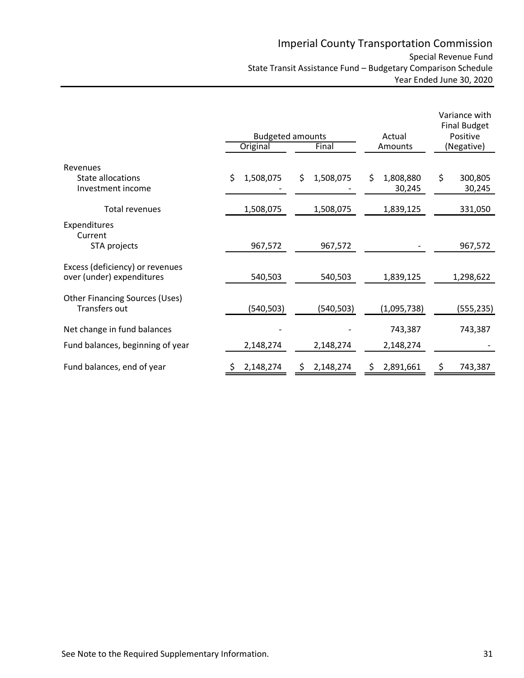|                                                              | <b>Budgeted amounts</b><br>Original | Final           | Actual<br>Amounts         | Variance with<br><b>Final Budget</b><br>Positive<br>(Negative) |
|--------------------------------------------------------------|-------------------------------------|-----------------|---------------------------|----------------------------------------------------------------|
| Revenues                                                     |                                     |                 |                           |                                                                |
| State allocations<br>Investment income                       | \$<br>1,508,075                     | \$<br>1,508,075 | \$<br>1,808,880<br>30,245 | \$<br>300,805<br>30,245                                        |
| Total revenues                                               | 1,508,075                           | 1,508,075       | 1,839,125                 | 331,050                                                        |
| Expenditures<br>Current<br>STA projects                      | 967,572                             | 967,572         |                           | 967,572                                                        |
|                                                              |                                     |                 |                           |                                                                |
| Excess (deficiency) or revenues<br>over (under) expenditures | 540,503                             | 540,503         | 1,839,125                 | 1,298,622                                                      |
| Other Financing Sources (Uses)<br>Transfers out              | (540, 503)                          | (540, 503)      | (1,095,738)               | (555, 235)                                                     |
| Net change in fund balances                                  |                                     |                 | 743,387                   | 743,387                                                        |
| Fund balances, beginning of year                             | 2,148,274                           | 2,148,274       | 2,148,274                 |                                                                |
| Fund balances, end of year                                   | 2,148,274                           | 2,148,274       | 2,891,661                 | 743,387                                                        |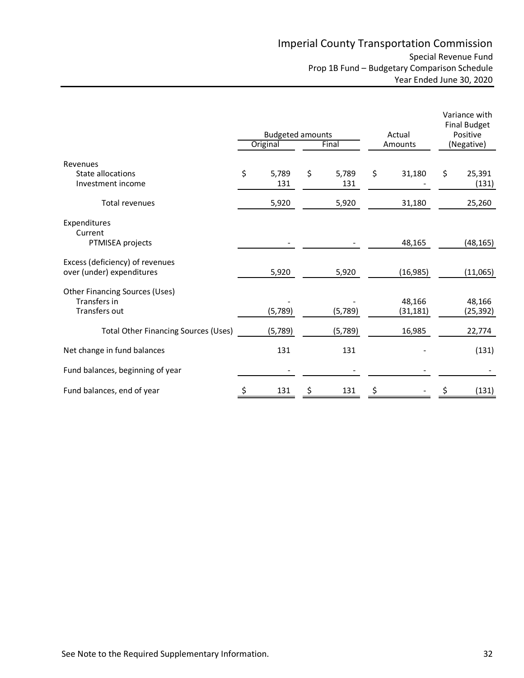|                                                                                                                       | <b>Budgeted amounts</b> |    |                    |         | Actual                        |            | Variance with<br><b>Final Budget</b><br>Positive |
|-----------------------------------------------------------------------------------------------------------------------|-------------------------|----|--------------------|---------|-------------------------------|------------|--------------------------------------------------|
|                                                                                                                       | Original                |    | Final              | Amounts |                               | (Negative) |                                                  |
| Revenues<br>State allocations<br>Investment income                                                                    | \$<br>5,789<br>131      | \$ | 5,789<br>131       | \$      | 31,180                        | \$         | 25,391<br>(131)                                  |
| <b>Total revenues</b>                                                                                                 | 5,920                   |    | 5,920              |         | 31,180                        |            | 25,260                                           |
| Expenditures<br>Current<br>PTMISEA projects                                                                           |                         |    |                    |         | 48,165                        |            | (48, 165)                                        |
| Excess (deficiency) of revenues<br>over (under) expenditures                                                          | 5,920                   |    | 5,920              |         | (16, 985)                     |            | (11,065)                                         |
| <b>Other Financing Sources (Uses)</b><br>Transfers in<br>Transfers out<br><b>Total Other Financing Sources (Uses)</b> | (5,789)<br>(5,789)      |    | (5,789)<br>(5,789) |         | 48,166<br>(31, 181)<br>16,985 |            | 48,166<br>(25,392)<br>22,774                     |
| Net change in fund balances                                                                                           | 131                     |    | 131                |         |                               |            | (131)                                            |
| Fund balances, beginning of year                                                                                      |                         |    |                    |         |                               |            |                                                  |
| Fund balances, end of year                                                                                            | 131                     | Ś  | 131                |         |                               |            | (131)                                            |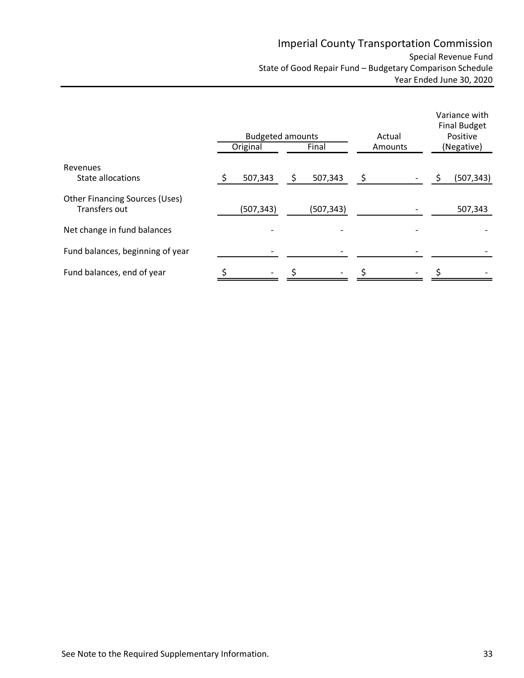|                                                               |    | <b>Budgeted amounts</b><br>Original | Final |            | Actual<br>Amounts  | Variance with<br><b>Final Budget</b><br>Positive<br>(Negative) |  |            |
|---------------------------------------------------------------|----|-------------------------------------|-------|------------|--------------------|----------------------------------------------------------------|--|------------|
| Revenues                                                      |    |                                     |       |            |                    |                                                                |  |            |
| State allocations                                             | \$ | 507,343                             | \$    | 507,343    | $\ddot{\varsigma}$ |                                                                |  | (507, 343) |
| <b>Other Financing Sources (Uses)</b><br><b>Transfers out</b> |    | (507,343)                           |       | (507, 343) |                    |                                                                |  | 507,343    |
| Net change in fund balances                                   |    |                                     |       |            |                    |                                                                |  |            |
| Fund balances, beginning of year                              |    |                                     |       |            |                    |                                                                |  |            |
| Fund balances, end of year                                    |    |                                     |       |            |                    |                                                                |  |            |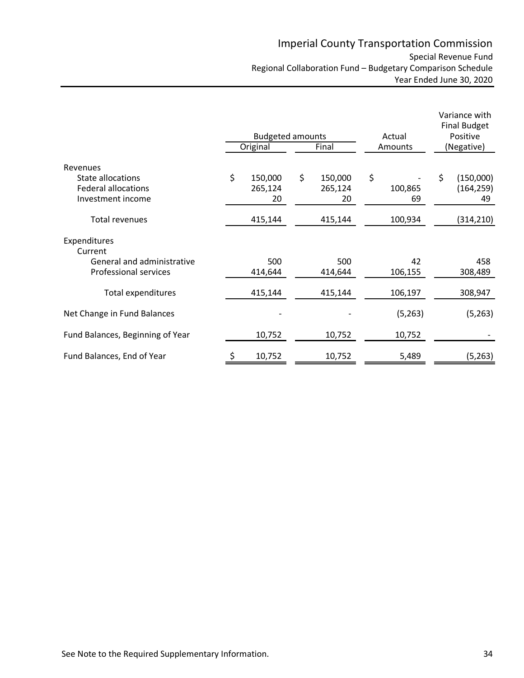|                                                                                  | <b>Budgeted amounts</b>        |                                | Actual              |    | Variance with<br><b>Final Budget</b><br>Positive |  |
|----------------------------------------------------------------------------------|--------------------------------|--------------------------------|---------------------|----|--------------------------------------------------|--|
|                                                                                  | Original                       | Final                          | Amounts             |    | (Negative)                                       |  |
| Revenues<br>State allocations<br><b>Federal allocations</b><br>Investment income | \$<br>150,000<br>265,124<br>20 | \$<br>150,000<br>265,124<br>20 | \$<br>100,865<br>69 | \$ | (150,000)<br>(164, 259)<br>49                    |  |
| Total revenues                                                                   | 415,144                        | 415,144                        | 100,934             |    | (314, 210)                                       |  |
| Expenditures<br>Current                                                          |                                |                                |                     |    |                                                  |  |
| General and administrative<br><b>Professional services</b>                       | 500<br>414,644                 | 500<br>414,644                 | 42<br>106,155       |    | 458<br>308,489                                   |  |
| Total expenditures                                                               | 415,144                        | 415,144                        | 106,197             |    | 308,947                                          |  |
| Net Change in Fund Balances                                                      |                                |                                | (5,263)             |    | (5,263)                                          |  |
| Fund Balances, Beginning of Year                                                 | 10,752                         | 10,752                         | 10,752              |    |                                                  |  |
| Fund Balances, End of Year                                                       | 10,752                         | 10,752                         | 5,489               |    | (5, 263)                                         |  |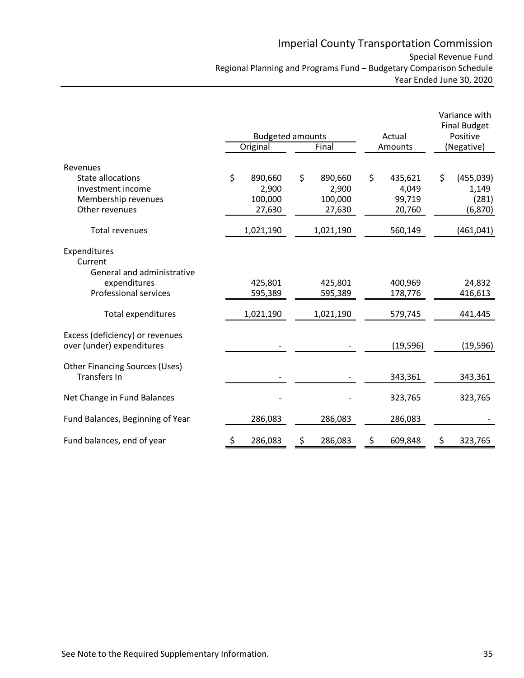|                                                              | <b>Budgeted amounts</b> |    | Actual            |    | Variance with<br><b>Final Budget</b><br>Positive |    |                     |
|--------------------------------------------------------------|-------------------------|----|-------------------|----|--------------------------------------------------|----|---------------------|
|                                                              | Original                |    | Final             |    | Amounts                                          |    | (Negative)          |
| Revenues<br>State allocations<br>Investment income           | \$<br>890,660<br>2,900  | \$ | 890,660<br>2,900  | \$ | 435,621<br>4,049                                 | \$ | (455, 039)<br>1,149 |
| Membership revenues<br>Other revenues                        | 100,000<br>27,630       |    | 100,000<br>27,630 |    | 99,719<br>20,760                                 |    | (281)<br>(6, 870)   |
| <b>Total revenues</b>                                        | 1,021,190               |    | 1,021,190         |    | 560,149                                          |    | (461,041)           |
| Expenditures<br>Current<br>General and administrative        |                         |    |                   |    |                                                  |    |                     |
| expenditures                                                 | 425,801                 |    | 425,801           |    | 400,969                                          |    | 24,832              |
| Professional services                                        | 595,389                 |    | 595,389           |    | 178,776                                          |    | 416,613             |
| <b>Total expenditures</b>                                    | 1,021,190               |    | 1,021,190         |    | 579,745                                          |    | 441,445             |
| Excess (deficiency) or revenues<br>over (under) expenditures |                         |    |                   |    | (19, 596)                                        |    | (19, 596)           |
| <b>Other Financing Sources (Uses)</b><br><b>Transfers In</b> |                         |    |                   |    | 343,361                                          |    | 343,361             |
| Net Change in Fund Balances                                  |                         |    |                   |    | 323,765                                          |    | 323,765             |
| Fund Balances, Beginning of Year                             | 286,083                 |    | 286,083           |    | 286,083                                          |    |                     |
| Fund balances, end of year                                   | \$<br>286,083           | \$ | 286,083           | \$ | 609,848                                          | \$ | 323,765             |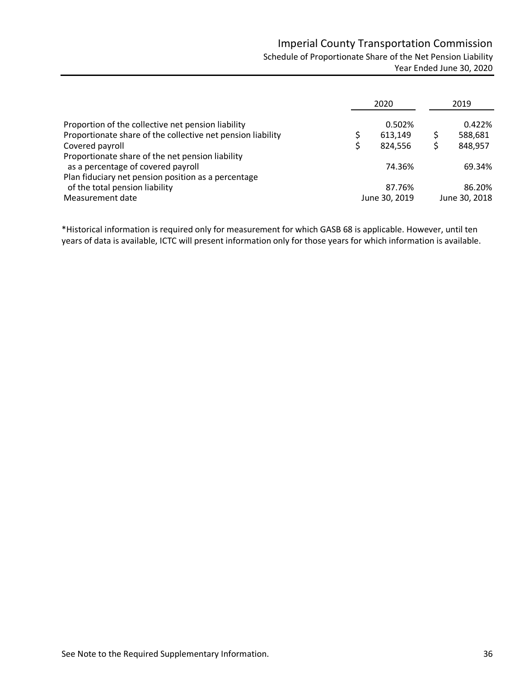|                                                             | 2020 |               |  | 2019          |  |  |
|-------------------------------------------------------------|------|---------------|--|---------------|--|--|
| Proportion of the collective net pension liability          |      | 0.502%        |  | 0.422%        |  |  |
| Proportionate share of the collective net pension liability |      | 613,149       |  | 588,681       |  |  |
| Covered payroll                                             |      | 824.556       |  | 848,957       |  |  |
| Proportionate share of the net pension liability            |      |               |  |               |  |  |
| as a percentage of covered payroll                          |      | 74.36%        |  | 69.34%        |  |  |
| Plan fiduciary net pension position as a percentage         |      |               |  |               |  |  |
| of the total pension liability                              |      | 87.76%        |  | 86.20%        |  |  |
| Measurement date                                            |      | June 30, 2019 |  | June 30, 2018 |  |  |

\*Historical information is required only for measurement for which GASB 68 is applicable. However, until ten years of data is available, ICTC will present information only for those years for which information is available.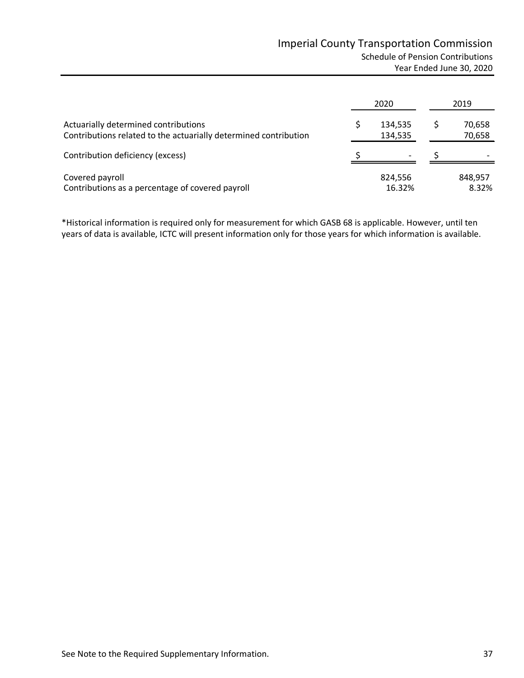|                                                                                                          | 2020               | 2019             |
|----------------------------------------------------------------------------------------------------------|--------------------|------------------|
| Actuarially determined contributions<br>Contributions related to the actuarially determined contribution | 134,535<br>134,535 | 70,658<br>70,658 |
| Contribution deficiency (excess)                                                                         |                    |                  |
| Covered payroll<br>Contributions as a percentage of covered payroll                                      | 824.556<br>16.32%  | 848.957<br>8.32% |

\*Historical information is required only for measurement for which GASB 68 is applicable. However, until ten years of data is available, ICTC will present information only for those years for which information is available.